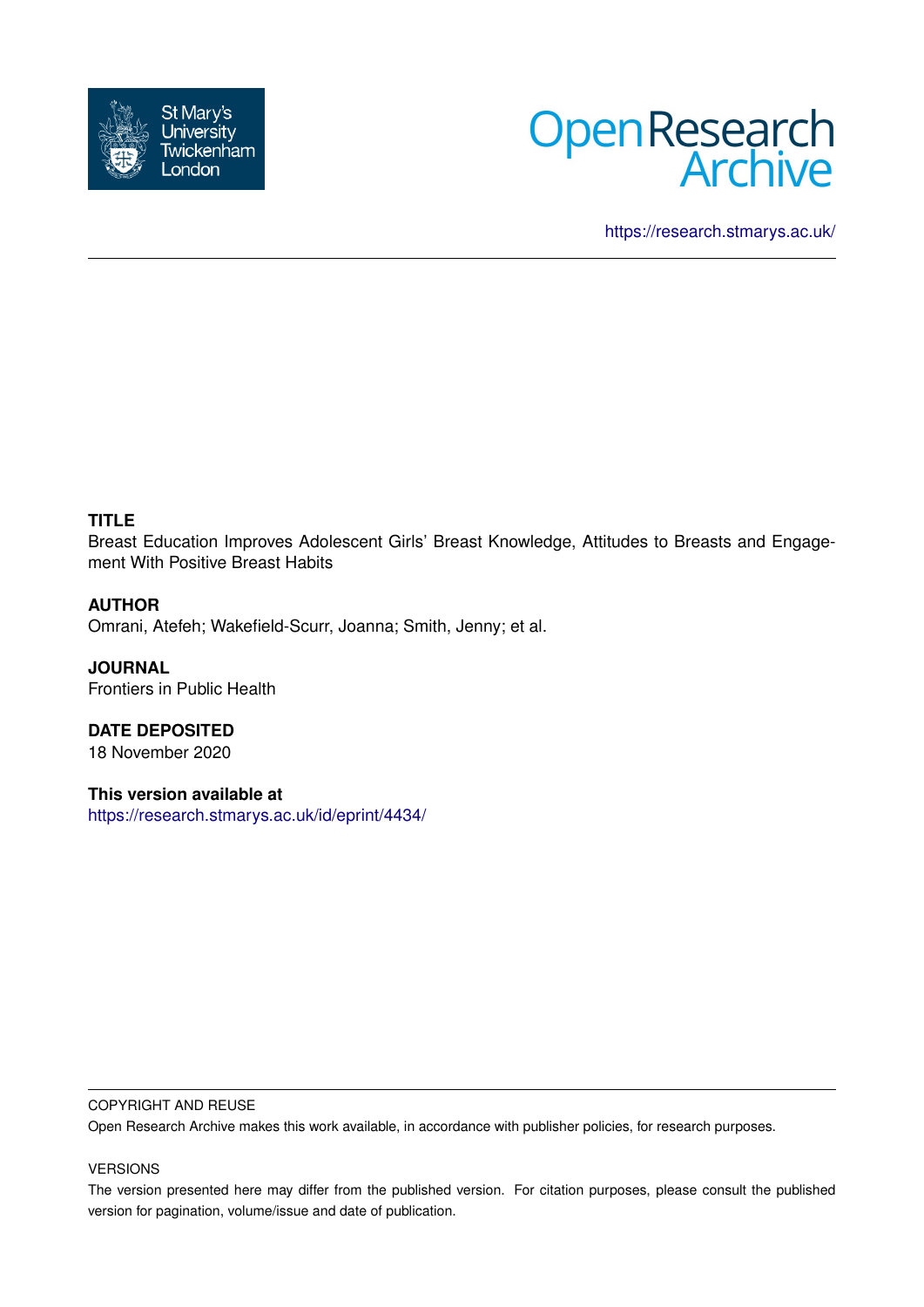



<https://research.stmarys.ac.uk/>

# **TITLE**

Breast Education Improves Adolescent Girls' Breast Knowledge, Attitudes to Breasts and Engagement With Positive Breast Habits

### **AUTHOR**

Omrani, Atefeh; Wakefield-Scurr, Joanna; Smith, Jenny; et al.

**JOURNAL** Frontiers in Public Health

**DATE DEPOSITED** 18 November 2020

**This version available at** <https://research.stmarys.ac.uk/id/eprint/4434/>

#### COPYRIGHT AND REUSE

Open Research Archive makes this work available, in accordance with publisher policies, for research purposes.

#### VERSIONS

The version presented here may differ from the published version. For citation purposes, please consult the published version for pagination, volume/issue and date of publication.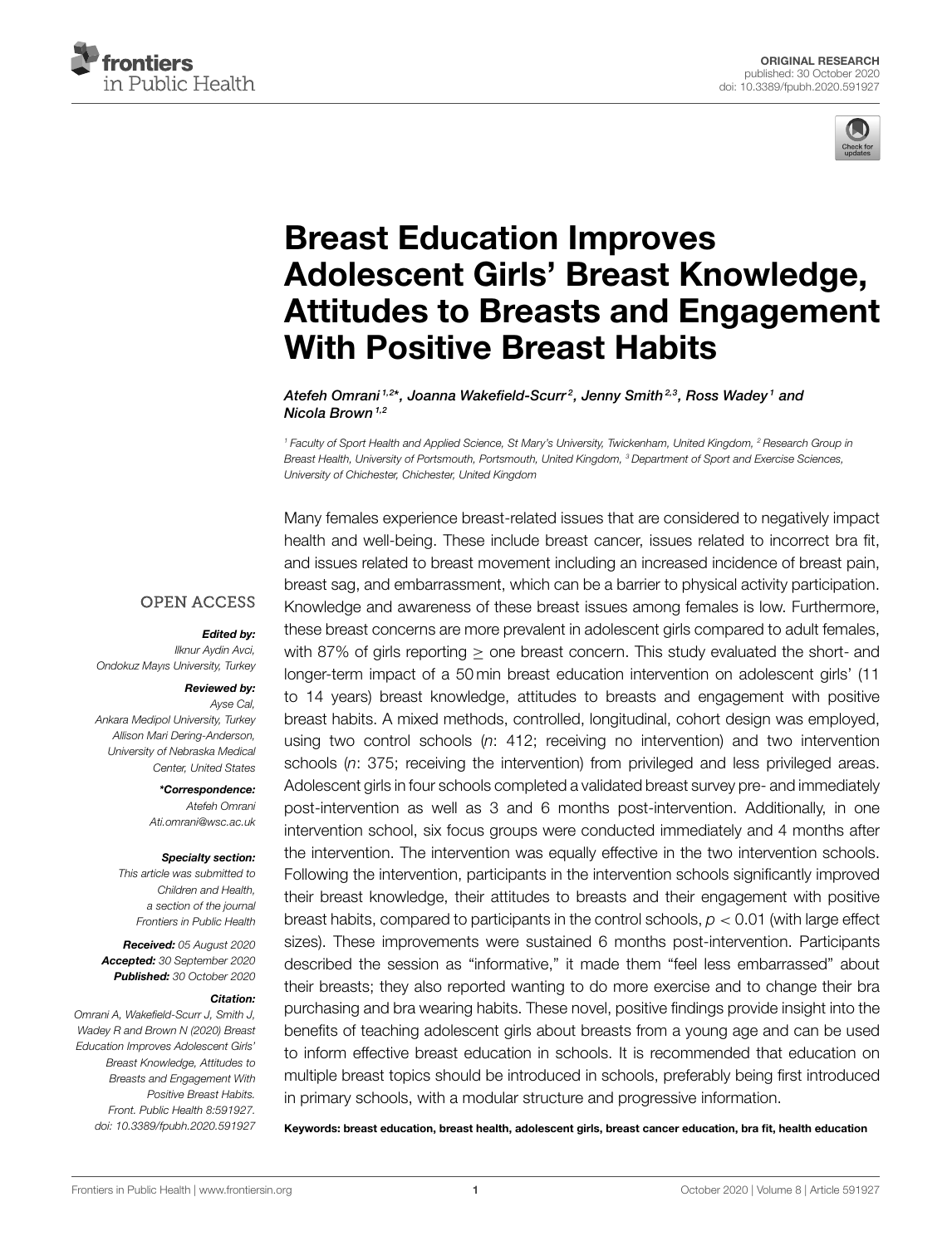



# Breast Education Improves Adolescent Girls' Breast Knowledge, Attitudes to Breasts and Engagement With Positive Breast Habits

Atefeh Omrani<sup>1,2</sup>\*, Joanna Wakefield-Scurr<sup>2</sup>, Jenny Smith<sup>2,3</sup>, Ross Wadey<sup>1</sup> and Nicola Brown<sup> $1,2$ </sup>

*<sup>1</sup> Faculty of Sport Health and Applied Science, St Mary's University, Twickenham, United Kingdom, <sup>2</sup> Research Group in Breast Health, University of Portsmouth, Portsmouth, United Kingdom, <sup>3</sup> Department of Sport and Exercise Sciences, University of Chichester, Chichester, United Kingdom*

#### **OPEN ACCESS**

#### Edited by:

*Ilknur Aydin Avci, Ondokuz Mayıs University, Turkey*

#### Reviewed by:

*Ayse Cal, Ankara Medipol University, Turkey Allison Mari Dering-Anderson, University of Nebraska Medical Center, United States*

> \*Correspondence: *Atefeh Omrani Ati.omrani@wsc.ac.uk*

#### Specialty section:

*This article was submitted to Children and Health, a section of the journal Frontiers in Public Health*

Received: *05 August 2020* Accepted: *30 September 2020* Published: *30 October 2020*

#### Citation:

*Omrani A, Wakefield-Scurr J, Smith J, Wadey R and Brown N (2020) Breast Education Improves Adolescent Girls' Breast Knowledge, Attitudes to Breasts and Engagement With Positive Breast Habits. Front. Public Health 8:591927. doi: 10.3389/fpubh.2020.591927*

Many females experience breast-related issues that are considered to negatively impact health and well-being. These include breast cancer, issues related to incorrect bra fit, and issues related to breast movement including an increased incidence of breast pain, breast sag, and embarrassment, which can be a barrier to physical activity participation. Knowledge and awareness of these breast issues among females is low. Furthermore, these breast concerns are more prevalent in adolescent girls compared to adult females, with 87% of girls reporting  $\geq$  one breast concern. This study evaluated the short- and longer-term impact of a 50 min breast education intervention on adolescent girls' (11 to 14 years) breast knowledge, attitudes to breasts and engagement with positive breast habits. A mixed methods, controlled, longitudinal, cohort design was employed, using two control schools (*n*: 412; receiving no intervention) and two intervention schools (*n*: 375; receiving the intervention) from privileged and less privileged areas. Adolescent girls in four schools completed a validated breast survey pre- and immediately post-intervention as well as 3 and 6 months post-intervention. Additionally, in one intervention school, six focus groups were conducted immediately and 4 months after the intervention. The intervention was equally effective in the two intervention schools. Following the intervention, participants in the intervention schools significantly improved their breast knowledge, their attitudes to breasts and their engagement with positive breast habits, compared to participants in the control schools, *p* < 0.01 (with large effect sizes). These improvements were sustained 6 months post-intervention. Participants described the session as "informative," it made them "feel less embarrassed" about their breasts; they also reported wanting to do more exercise and to change their bra purchasing and bra wearing habits. These novel, positive findings provide insight into the benefits of teaching adolescent girls about breasts from a young age and can be used to inform effective breast education in schools. It is recommended that education on multiple breast topics should be introduced in schools, preferably being first introduced in primary schools, with a modular structure and progressive information.

Keywords: breast education, breast health, adolescent girls, breast cancer education, bra fit, health education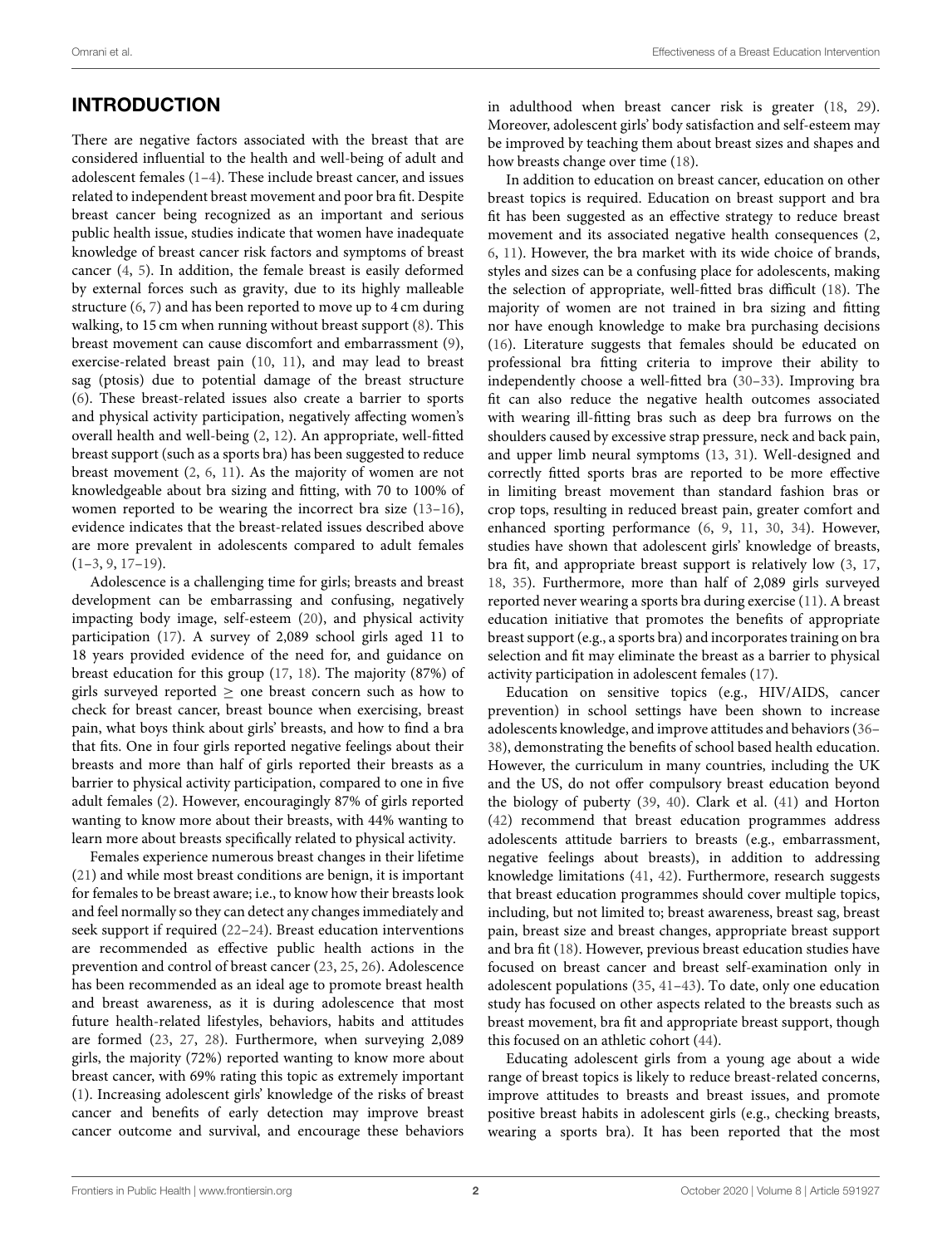# INTRODUCTION

There are negative factors associated with the breast that are considered influential to the health and well-being of adult and adolescent females (1–4). These include breast cancer, and issues related to independent breast movement and poor bra fit. Despite breast cancer being recognized as an important and serious public health issue, studies indicate that women have inadequate knowledge of breast cancer risk factors and symptoms of breast cancer (4, 5). In addition, the female breast is easily deformed by external forces such as gravity, due to its highly malleable structure (6, 7) and has been reported to move up to 4 cm during walking, to 15 cm when running without breast support (8). This breast movement can cause discomfort and embarrassment (9), exercise-related breast pain (10, 11), and may lead to breast sag (ptosis) due to potential damage of the breast structure (6). These breast-related issues also create a barrier to sports and physical activity participation, negatively affecting women's overall health and well-being (2, 12). An appropriate, well-fitted breast support (such as a sports bra) has been suggested to reduce breast movement (2, 6, 11). As the majority of women are not knowledgeable about bra sizing and fitting, with 70 to 100% of women reported to be wearing the incorrect bra size (13–16), evidence indicates that the breast-related issues described above are more prevalent in adolescents compared to adult females  $(1-3, 9, 17-19)$ .

Adolescence is a challenging time for girls; breasts and breast development can be embarrassing and confusing, negatively impacting body image, self-esteem (20), and physical activity participation (17). A survey of 2,089 school girls aged 11 to 18 years provided evidence of the need for, and guidance on breast education for this group (17, 18). The majority (87%) of girls surveyed reported  $\geq$  one breast concern such as how to check for breast cancer, breast bounce when exercising, breast pain, what boys think about girls' breasts, and how to find a bra that fits. One in four girls reported negative feelings about their breasts and more than half of girls reported their breasts as a barrier to physical activity participation, compared to one in five adult females (2). However, encouragingly 87% of girls reported wanting to know more about their breasts, with 44% wanting to learn more about breasts specifically related to physical activity.

Females experience numerous breast changes in their lifetime (21) and while most breast conditions are benign, it is important for females to be breast aware; i.e., to know how their breasts look and feel normally so they can detect any changes immediately and seek support if required (22–24). Breast education interventions are recommended as effective public health actions in the prevention and control of breast cancer (23, 25, 26). Adolescence has been recommended as an ideal age to promote breast health and breast awareness, as it is during adolescence that most future health-related lifestyles, behaviors, habits and attitudes are formed (23, 27, 28). Furthermore, when surveying 2,089 girls, the majority (72%) reported wanting to know more about breast cancer, with 69% rating this topic as extremely important (1). Increasing adolescent girls' knowledge of the risks of breast cancer and benefits of early detection may improve breast cancer outcome and survival, and encourage these behaviors in adulthood when breast cancer risk is greater (18, 29). Moreover, adolescent girls' body satisfaction and self-esteem may be improved by teaching them about breast sizes and shapes and how breasts change over time (18).

In addition to education on breast cancer, education on other breast topics is required. Education on breast support and bra fit has been suggested as an effective strategy to reduce breast movement and its associated negative health consequences (2, 6, 11). However, the bra market with its wide choice of brands, styles and sizes can be a confusing place for adolescents, making the selection of appropriate, well-fitted bras difficult (18). The majority of women are not trained in bra sizing and fitting nor have enough knowledge to make bra purchasing decisions (16). Literature suggests that females should be educated on professional bra fitting criteria to improve their ability to independently choose a well-fitted bra (30–33). Improving bra fit can also reduce the negative health outcomes associated with wearing ill-fitting bras such as deep bra furrows on the shoulders caused by excessive strap pressure, neck and back pain, and upper limb neural symptoms (13, 31). Well-designed and correctly fitted sports bras are reported to be more effective in limiting breast movement than standard fashion bras or crop tops, resulting in reduced breast pain, greater comfort and enhanced sporting performance (6, 9, 11, 30, 34). However, studies have shown that adolescent girls' knowledge of breasts, bra fit, and appropriate breast support is relatively low (3, 17, 18, 35). Furthermore, more than half of 2,089 girls surveyed reported never wearing a sports bra during exercise (11). A breast education initiative that promotes the benefits of appropriate breast support (e.g., a sports bra) and incorporates training on bra selection and fit may eliminate the breast as a barrier to physical activity participation in adolescent females (17).

Education on sensitive topics (e.g., HIV/AIDS, cancer prevention) in school settings have been shown to increase adolescents knowledge, and improve attitudes and behaviors (36– 38), demonstrating the benefits of school based health education. However, the curriculum in many countries, including the UK and the US, do not offer compulsory breast education beyond the biology of puberty (39, 40). Clark et al. (41) and Horton (42) recommend that breast education programmes address adolescents attitude barriers to breasts (e.g., embarrassment, negative feelings about breasts), in addition to addressing knowledge limitations (41, 42). Furthermore, research suggests that breast education programmes should cover multiple topics, including, but not limited to; breast awareness, breast sag, breast pain, breast size and breast changes, appropriate breast support and bra fit (18). However, previous breast education studies have focused on breast cancer and breast self-examination only in adolescent populations (35, 41–43). To date, only one education study has focused on other aspects related to the breasts such as breast movement, bra fit and appropriate breast support, though this focused on an athletic cohort (44).

Educating adolescent girls from a young age about a wide range of breast topics is likely to reduce breast-related concerns, improve attitudes to breasts and breast issues, and promote positive breast habits in adolescent girls (e.g., checking breasts, wearing a sports bra). It has been reported that the most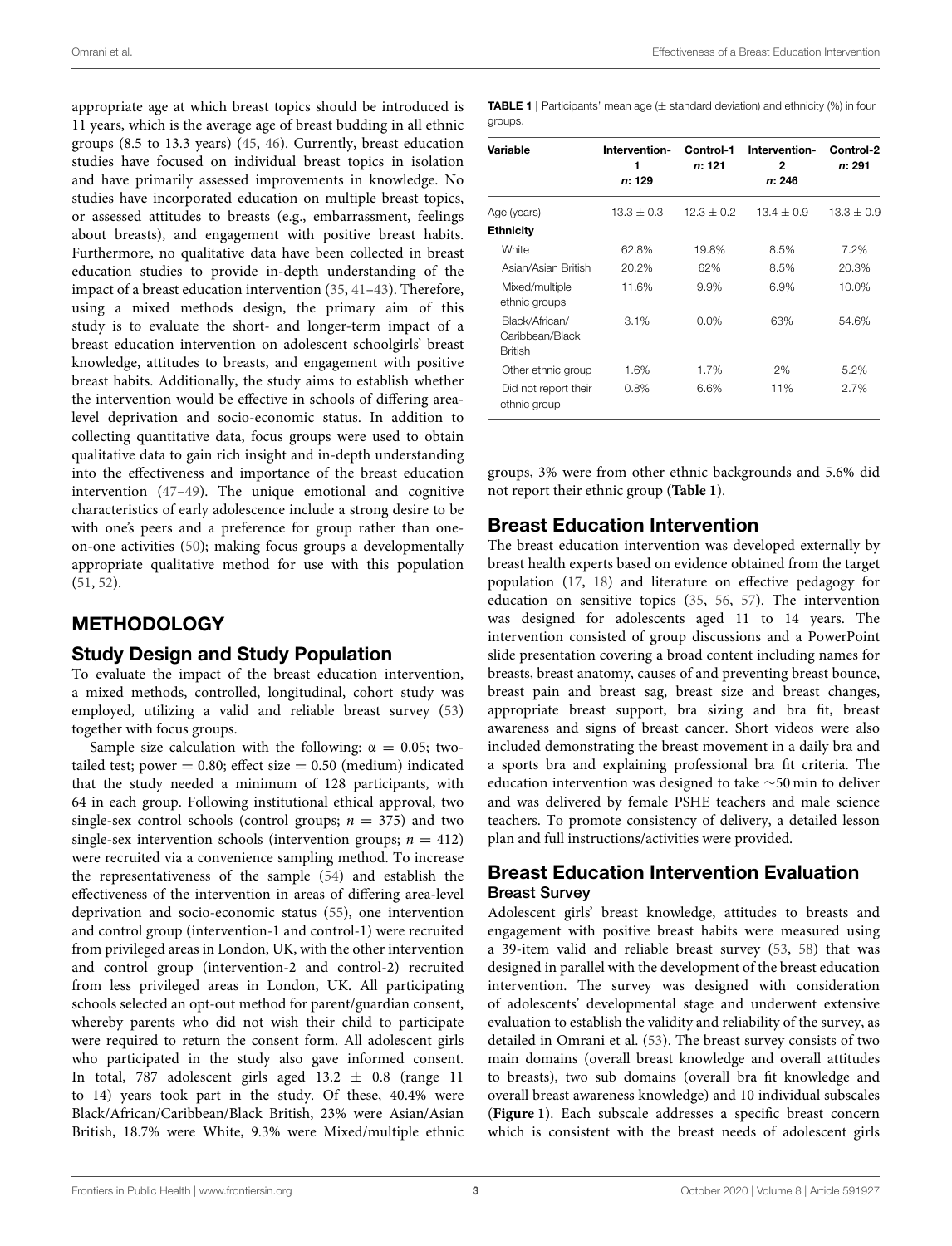Omrani et al. Effectiveness of a Breast Education Intervention

appropriate age at which breast topics should be introduced is 11 years, which is the average age of breast budding in all ethnic groups (8.5 to 13.3 years) (45, 46). Currently, breast education studies have focused on individual breast topics in isolation and have primarily assessed improvements in knowledge. No studies have incorporated education on multiple breast topics, or assessed attitudes to breasts (e.g., embarrassment, feelings about breasts), and engagement with positive breast habits. Furthermore, no qualitative data have been collected in breast education studies to provide in-depth understanding of the impact of a breast education intervention (35, 41–43). Therefore, using a mixed methods design, the primary aim of this study is to evaluate the short- and longer-term impact of a breast education intervention on adolescent schoolgirls' breast knowledge, attitudes to breasts, and engagement with positive breast habits. Additionally, the study aims to establish whether the intervention would be effective in schools of differing arealevel deprivation and socio-economic status. In addition to collecting quantitative data, focus groups were used to obtain qualitative data to gain rich insight and in-depth understanding into the effectiveness and importance of the breast education intervention (47–49). The unique emotional and cognitive characteristics of early adolescence include a strong desire to be with one's peers and a preference for group rather than oneon-one activities (50); making focus groups a developmentally appropriate qualitative method for use with this population (51, 52).

### **METHODOLOGY**

### Study Design and Study Population

To evaluate the impact of the breast education intervention, a mixed methods, controlled, longitudinal, cohort study was employed, utilizing a valid and reliable breast survey (53) together with focus groups.

Sample size calculation with the following:  $\alpha = 0.05$ ; twotailed test; power =  $0.80$ ; effect size =  $0.50$  (medium) indicated that the study needed a minimum of 128 participants, with 64 in each group. Following institutional ethical approval, two single-sex control schools (control groups;  $n = 375$ ) and two single-sex intervention schools (intervention groups;  $n = 412$ ) were recruited via a convenience sampling method. To increase the representativeness of the sample (54) and establish the effectiveness of the intervention in areas of differing area-level deprivation and socio-economic status (55), one intervention and control group (intervention-1 and control-1) were recruited from privileged areas in London, UK, with the other intervention and control group (intervention-2 and control-2) recruited from less privileged areas in London, UK. All participating schools selected an opt-out method for parent/guardian consent, whereby parents who did not wish their child to participate were required to return the consent form. All adolescent girls who participated in the study also gave informed consent. In total, 787 adolescent girls aged  $13.2 \pm 0.8$  (range 11 to 14) years took part in the study. Of these, 40.4% were Black/African/Caribbean/Black British, 23% were Asian/Asian British, 18.7% were White, 9.3% were Mixed/multiple ethnic

**TABLE 1** | Participants' mean age  $(\pm$  standard deviation) and ethnicity (%) in four groups

| Variable                                            | Intervention-<br>1<br>n: 129 | Control-1<br><i>n</i> : 121 | Intervention-<br>2<br>n: 246 | Control-2<br>n: 291 |
|-----------------------------------------------------|------------------------------|-----------------------------|------------------------------|---------------------|
| Age (years)                                         | $13.3 + 0.3$                 | $12.3 + 0.2$                | $13.4 + 0.9$                 | $13.3 + 0.9$        |
| <b>Ethnicity</b>                                    |                              |                             |                              |                     |
| White                                               | 62.8%                        | 19.8%                       | 8.5%                         | 7.2%                |
| Asian/Asian British                                 | 20.2%                        | 62%                         | 8.5%                         | 20.3%               |
| Mixed/multiple<br>ethnic groups                     | 11.6%                        | 9.9%                        | 6.9%                         | 10.0%               |
| Black/African/<br>Caribbean/Black<br><b>British</b> | 3.1%                         | $0.0\%$                     | 63%                          | 54.6%               |
| Other ethnic group                                  | 1.6%                         | 1.7%                        | 2%                           | 5.2%                |
| Did not report their<br>ethnic group                | 0.8%                         | 6.6%                        | 11%                          | 2.7%                |

groups, 3% were from other ethnic backgrounds and 5.6% did not report their ethnic group (**Table 1**).

### Breast Education Intervention

The breast education intervention was developed externally by breast health experts based on evidence obtained from the target population (17, 18) and literature on effective pedagogy for education on sensitive topics (35, 56, 57). The intervention was designed for adolescents aged 11 to 14 years. The intervention consisted of group discussions and a PowerPoint slide presentation covering a broad content including names for breasts, breast anatomy, causes of and preventing breast bounce, breast pain and breast sag, breast size and breast changes, appropriate breast support, bra sizing and bra fit, breast awareness and signs of breast cancer. Short videos were also included demonstrating the breast movement in a daily bra and a sports bra and explaining professional bra fit criteria. The education intervention was designed to take ∼50 min to deliver and was delivered by female PSHE teachers and male science teachers. To promote consistency of delivery, a detailed lesson plan and full instructions/activities were provided.

### Breast Education Intervention Evaluation Breast Survey

Adolescent girls' breast knowledge, attitudes to breasts and engagement with positive breast habits were measured using a 39-item valid and reliable breast survey (53, 58) that was designed in parallel with the development of the breast education intervention. The survey was designed with consideration of adolescents' developmental stage and underwent extensive evaluation to establish the validity and reliability of the survey, as detailed in Omrani et al. (53). The breast survey consists of two main domains (overall breast knowledge and overall attitudes to breasts), two sub domains (overall bra fit knowledge and overall breast awareness knowledge) and 10 individual subscales (**Figure 1**). Each subscale addresses a specific breast concern which is consistent with the breast needs of adolescent girls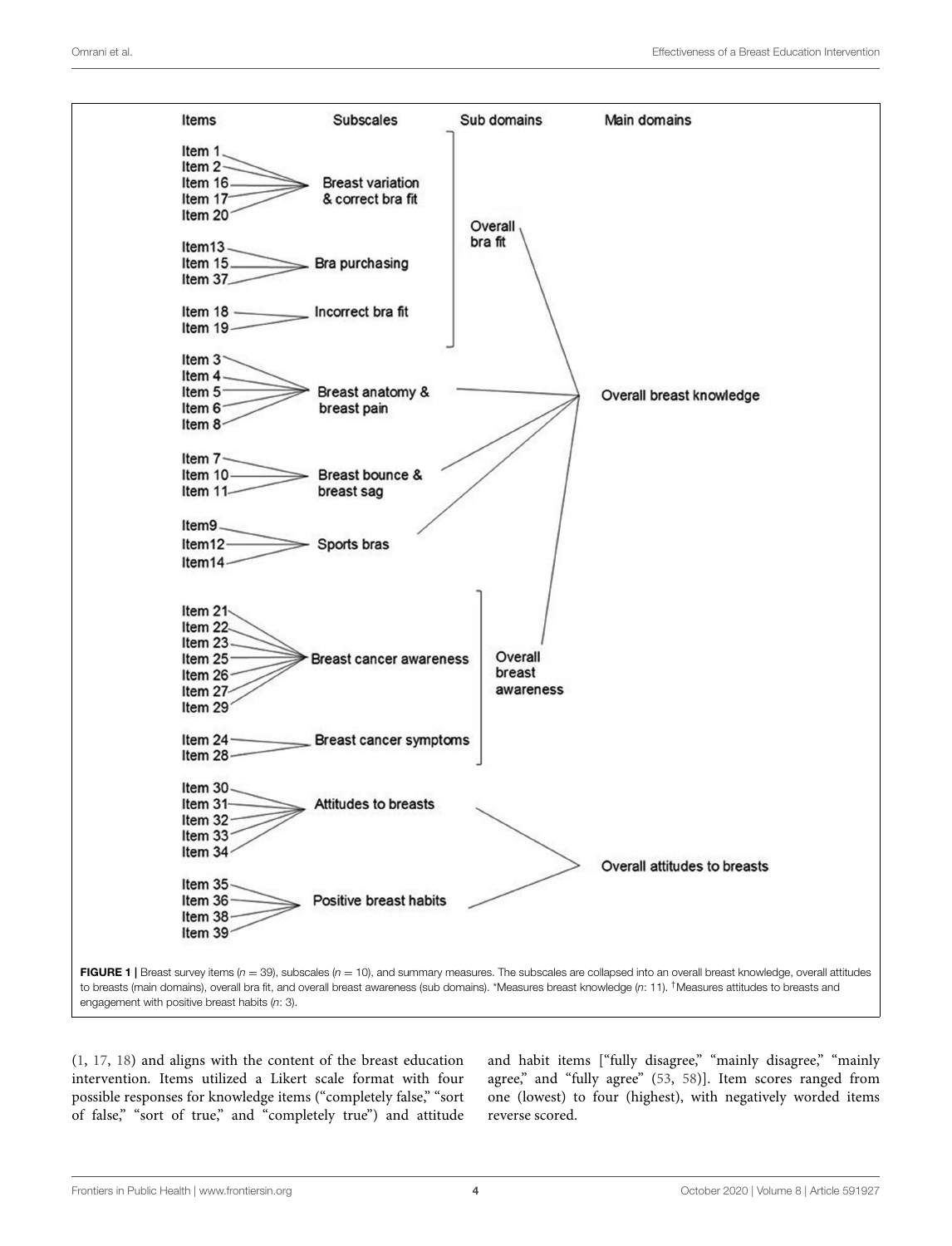

(1, 17, 18) and aligns with the content of the breast education intervention. Items utilized a Likert scale format with four possible responses for knowledge items ("completely false," "sort of false," "sort of true," and "completely true") and attitude

and habit items ["fully disagree," "mainly disagree," "mainly agree," and "fully agree" (53, 58)]. Item scores ranged from one (lowest) to four (highest), with negatively worded items reverse scored.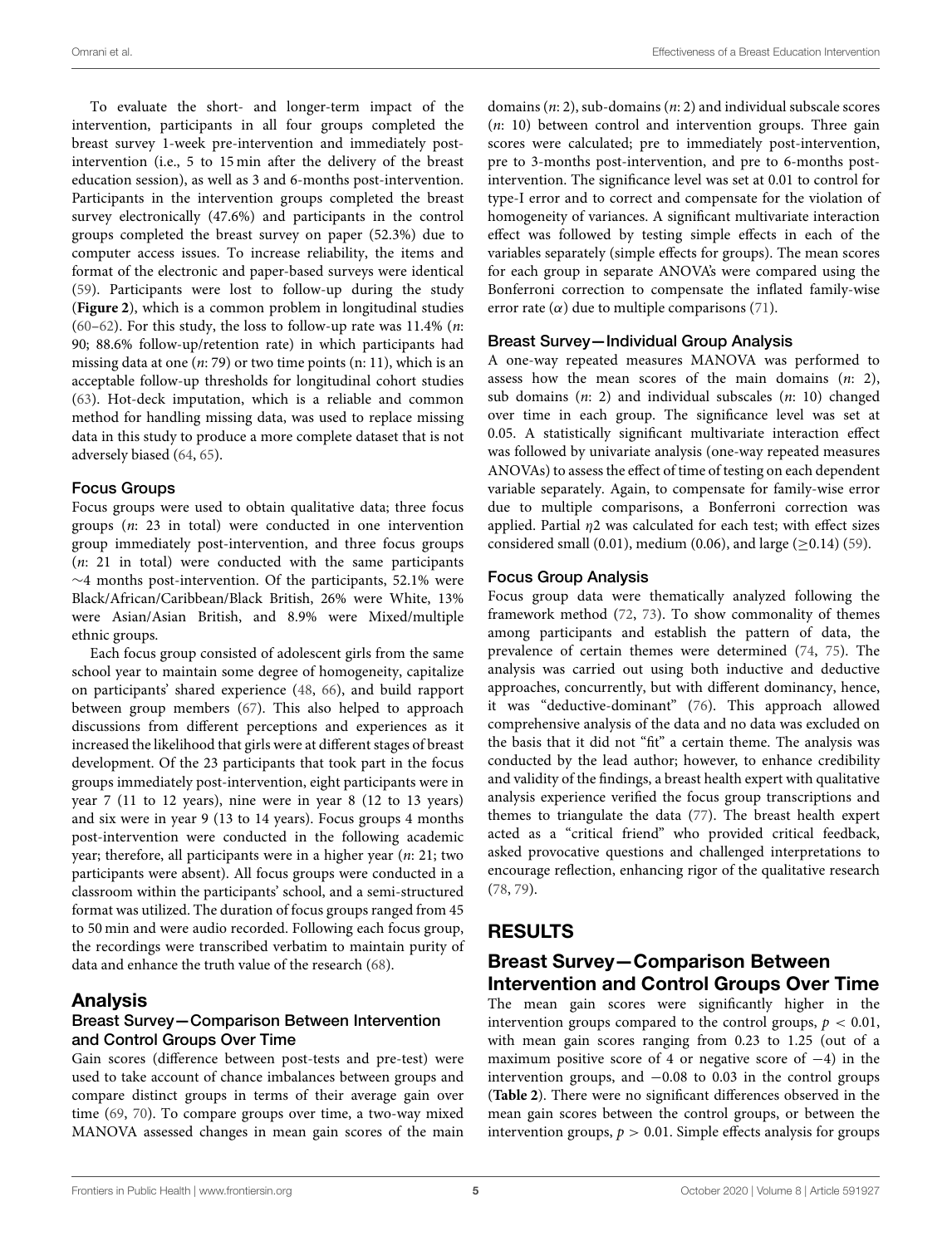To evaluate the short- and longer-term impact of the intervention, participants in all four groups completed the breast survey 1-week pre-intervention and immediately postintervention (i.e., 5 to 15 min after the delivery of the breast education session), as well as 3 and 6-months post-intervention. Participants in the intervention groups completed the breast survey electronically (47.6%) and participants in the control groups completed the breast survey on paper (52.3%) due to computer access issues. To increase reliability, the items and format of the electronic and paper-based surveys were identical (59). Participants were lost to follow-up during the study (**Figure 2**), which is a common problem in longitudinal studies (60–62). For this study, the loss to follow-up rate was  $11.4\%$  (*n*: 90; 88.6% follow-up/retention rate) in which participants had missing data at one  $(n: 79)$  or two time points  $(n: 11)$ , which is an acceptable follow-up thresholds for longitudinal cohort studies (63). Hot-deck imputation, which is a reliable and common method for handling missing data, was used to replace missing data in this study to produce a more complete dataset that is not adversely biased (64, 65).

#### Focus Groups

Focus groups were used to obtain qualitative data; three focus groups (n: 23 in total) were conducted in one intervention group immediately post-intervention, and three focus groups  $(n: 21)$  in total) were conducted with the same participants ∼4 months post-intervention. Of the participants, 52.1% were Black/African/Caribbean/Black British, 26% were White, 13% were Asian/Asian British, and 8.9% were Mixed/multiple ethnic groups.

Each focus group consisted of adolescent girls from the same school year to maintain some degree of homogeneity, capitalize on participants' shared experience (48, 66), and build rapport between group members (67). This also helped to approach discussions from different perceptions and experiences as it increased the likelihood that girls were at different stages of breast development. Of the 23 participants that took part in the focus groups immediately post-intervention, eight participants were in year 7 (11 to 12 years), nine were in year 8 (12 to 13 years) and six were in year 9 (13 to 14 years). Focus groups 4 months post-intervention were conducted in the following academic year; therefore, all participants were in a higher year (n: 21; two participants were absent). All focus groups were conducted in a classroom within the participants' school, and a semi-structured format was utilized. The duration of focus groups ranged from 45 to 50 min and were audio recorded. Following each focus group, the recordings were transcribed verbatim to maintain purity of data and enhance the truth value of the research (68).

### Analysis

#### Breast Survey—Comparison Between Intervention and Control Groups Over Time

Gain scores (difference between post-tests and pre-test) were used to take account of chance imbalances between groups and compare distinct groups in terms of their average gain over time (69, 70). To compare groups over time, a two-way mixed MANOVA assessed changes in mean gain scores of the main domains  $(n: 2)$ , sub-domains  $(n: 2)$  and individual subscale scores  $(n: 10)$  between control and intervention groups. Three gain scores were calculated; pre to immediately post-intervention, pre to 3-months post-intervention, and pre to 6-months postintervention. The significance level was set at 0.01 to control for type-I error and to correct and compensate for the violation of homogeneity of variances. A significant multivariate interaction effect was followed by testing simple effects in each of the variables separately (simple effects for groups). The mean scores for each group in separate ANOVA's were compared using the Bonferroni correction to compensate the inflated family-wise error rate  $(\alpha)$  due to multiple comparisons (71).

#### Breast Survey—Individual Group Analysis

A one-way repeated measures MANOVA was performed to assess how the mean scores of the main domains  $(n: 2)$ , sub domains (n: 2) and individual subscales (n: 10) changed over time in each group. The significance level was set at 0.05. A statistically significant multivariate interaction effect was followed by univariate analysis (one-way repeated measures ANOVAs) to assess the effect of time of testing on each dependent variable separately. Again, to compensate for family-wise error due to multiple comparisons, a Bonferroni correction was applied. Partial  $\eta$ 2 was calculated for each test; with effect sizes considered small (0.01), medium (0.06), and large ( $\geq$ 0.14) (59).

#### Focus Group Analysis

Focus group data were thematically analyzed following the framework method (72, 73). To show commonality of themes among participants and establish the pattern of data, the prevalence of certain themes were determined (74, 75). The analysis was carried out using both inductive and deductive approaches, concurrently, but with different dominancy, hence, it was "deductive-dominant" (76). This approach allowed comprehensive analysis of the data and no data was excluded on the basis that it did not "fit" a certain theme. The analysis was conducted by the lead author; however, to enhance credibility and validity of the findings, a breast health expert with qualitative analysis experience verified the focus group transcriptions and themes to triangulate the data (77). The breast health expert acted as a "critical friend" who provided critical feedback, asked provocative questions and challenged interpretations to encourage reflection, enhancing rigor of the qualitative research (78, 79).

# RESULTS

### Breast Survey—Comparison Between Intervention and Control Groups Over Time

The mean gain scores were significantly higher in the intervention groups compared to the control groups,  $p < 0.01$ , with mean gain scores ranging from 0.23 to 1.25 (out of a maximum positive score of 4 or negative score of −4) in the intervention groups, and −0.08 to 0.03 in the control groups (**Table 2**). There were no significant differences observed in the mean gain scores between the control groups, or between the intervention groups,  $p > 0.01$ . Simple effects analysis for groups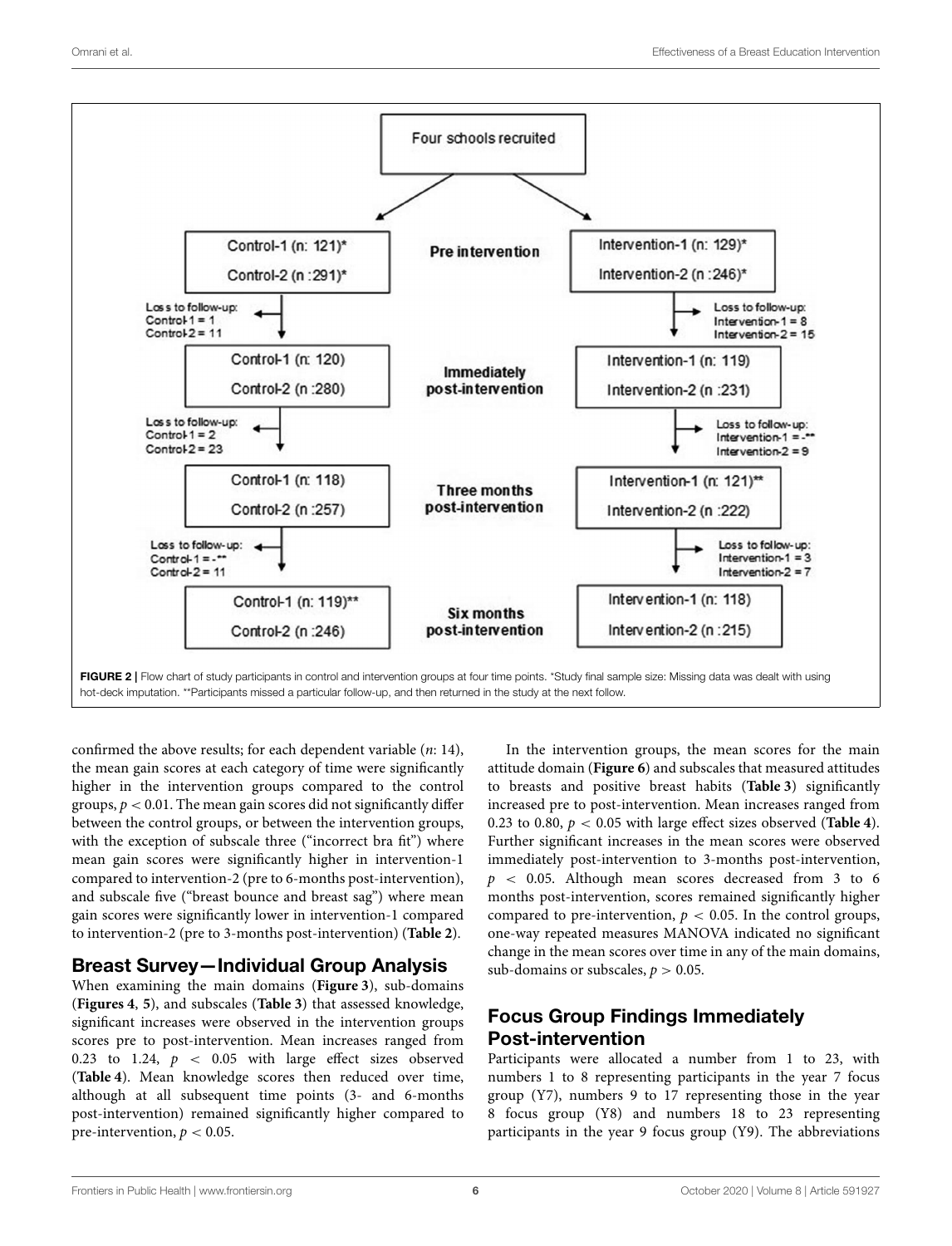

confirmed the above results; for each dependent variable (n: 14), the mean gain scores at each category of time were significantly higher in the intervention groups compared to the control groups,  $p < 0.01$ . The mean gain scores did not significantly differ between the control groups, or between the intervention groups, with the exception of subscale three ("incorrect bra fit") where mean gain scores were significantly higher in intervention-1 compared to intervention-2 (pre to 6-months post-intervention), and subscale five ("breast bounce and breast sag") where mean gain scores were significantly lower in intervention-1 compared to intervention-2 (pre to 3-months post-intervention) (**Table 2**).

### Breast Survey—Individual Group Analysis

When examining the main domains (**Figure 3**), sub-domains (**Figures 4**, **5**), and subscales (**Table 3**) that assessed knowledge, significant increases were observed in the intervention groups scores pre to post-intervention. Mean increases ranged from 0.23 to 1.24,  $p \, < \, 0.05$  with large effect sizes observed (**Table 4**). Mean knowledge scores then reduced over time, although at all subsequent time points (3- and 6-months post-intervention) remained significantly higher compared to pre-intervention,  $p < 0.05$ .

In the intervention groups, the mean scores for the main attitude domain (**Figure 6**) and subscales that measured attitudes to breasts and positive breast habits (**Table 3**) significantly increased pre to post-intervention. Mean increases ranged from 0.23 to 0.80, p < 0.05 with large effect sizes observed (**Table 4**). Further significant increases in the mean scores were observed immediately post-intervention to 3-months post-intervention,  $p \sim 0.05$ . Although mean scores decreased from 3 to 6 months post-intervention, scores remained significantly higher compared to pre-intervention,  $p < 0.05$ . In the control groups, one-way repeated measures MANOVA indicated no significant change in the mean scores over time in any of the main domains, sub-domains or subscales,  $p > 0.05$ .

# Focus Group Findings Immediately Post-intervention

Participants were allocated a number from 1 to 23, with numbers 1 to 8 representing participants in the year 7 focus group (Y7), numbers 9 to 17 representing those in the year 8 focus group (Y8) and numbers 18 to 23 representing participants in the year 9 focus group (Y9). The abbreviations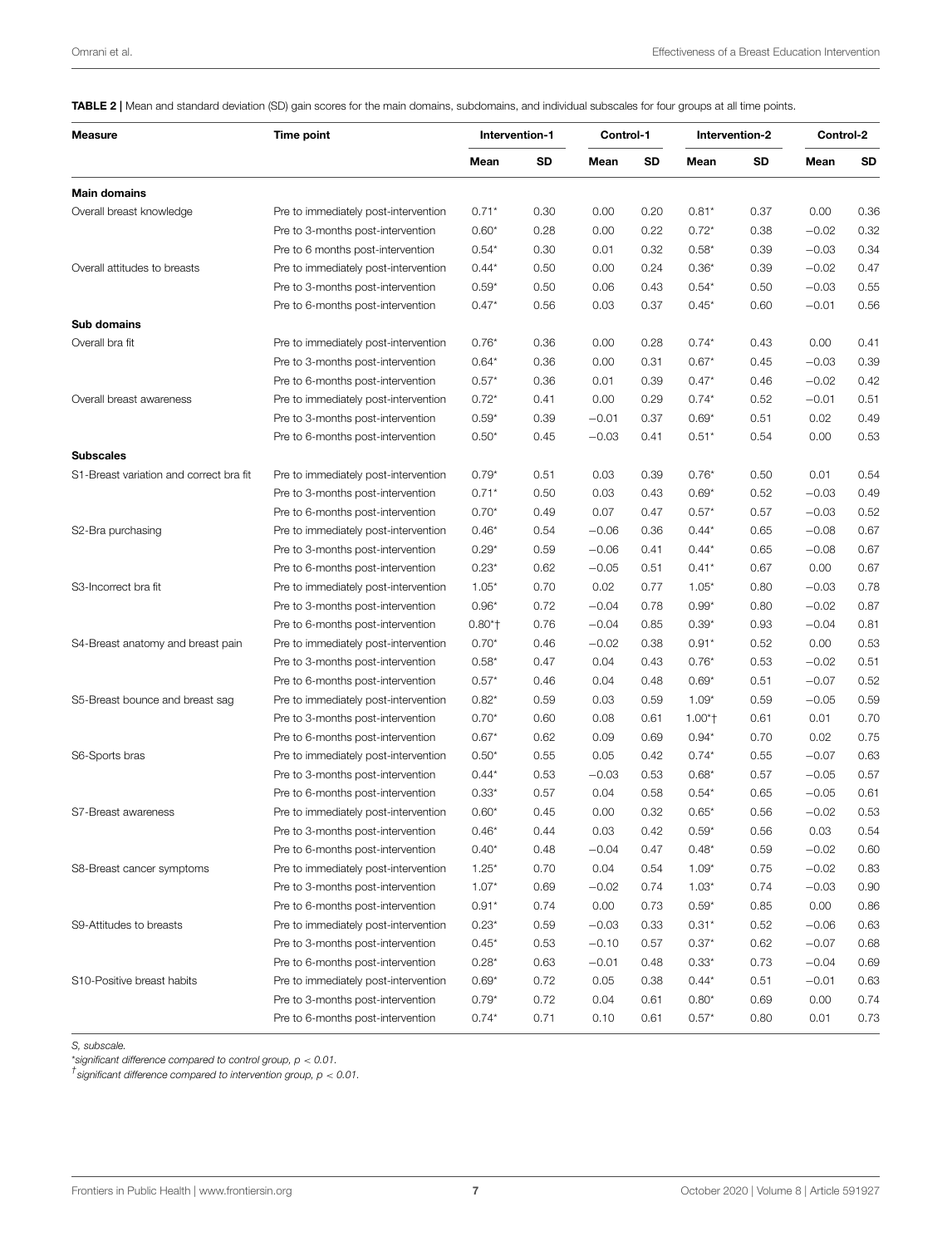TABLE 2 | Mean and standard deviation (SD) gain scores for the main domains, subdomains, and individual subscales for four groups at all time points.

| <b>Measure</b>                          | Time point                           | Intervention-1 |      | Control-1 |      | Intervention-2 |      | Control-2 |      |
|-----------------------------------------|--------------------------------------|----------------|------|-----------|------|----------------|------|-----------|------|
|                                         |                                      | Mean           | SD   | Mean      | SD   | Mean           | SD   | Mean      | SD   |
| <b>Main domains</b>                     |                                      |                |      |           |      |                |      |           |      |
| Overall breast knowledge                | Pre to immediately post-intervention | $0.71*$        | 0.30 | 0.00      | 0.20 | $0.81*$        | 0.37 | 0.00      | 0.36 |
|                                         | Pre to 3-months post-intervention    | $0.60*$        | 0.28 | 0.00      | 0.22 | $0.72*$        | 0.38 | $-0.02$   | 0.32 |
|                                         | Pre to 6 months post-intervention    | $0.54*$        | 0.30 | 0.01      | 0.32 | $0.58*$        | 0.39 | $-0.03$   | 0.34 |
| Overall attitudes to breasts            | Pre to immediately post-intervention | $0.44*$        | 0.50 | 0.00      | 0.24 | $0.36*$        | 0.39 | $-0.02$   | 0.47 |
|                                         | Pre to 3-months post-intervention    | $0.59*$        | 0.50 | 0.06      | 0.43 | $0.54*$        | 0.50 | $-0.03$   | 0.55 |
|                                         | Pre to 6-months post-intervention    | $0.47*$        | 0.56 | 0.03      | 0.37 | $0.45*$        | 0.60 | $-0.01$   | 0.56 |
| Sub domains                             |                                      |                |      |           |      |                |      |           |      |
| Overall bra fit                         | Pre to immediately post-intervention | $0.76*$        | 0.36 | 0.00      | 0.28 | $0.74*$        | 0.43 | 0.00      | 0.41 |
|                                         | Pre to 3-months post-intervention    | $0.64*$        | 0.36 | 0.00      | 0.31 | $0.67*$        | 0.45 | $-0.03$   | 0.39 |
|                                         | Pre to 6-months post-intervention    | $0.57*$        | 0.36 | 0.01      | 0.39 | $0.47*$        | 0.46 | $-0.02$   | 0.42 |
| Overall breast awareness                | Pre to immediately post-intervention | $0.72*$        | 0.41 | 0.00      | 0.29 | $0.74*$        | 0.52 | $-0.01$   | 0.51 |
|                                         | Pre to 3-months post-intervention    | $0.59*$        | 0.39 | $-0.01$   | 0.37 | $0.69*$        | 0.51 | 0.02      | 0.49 |
|                                         | Pre to 6-months post-intervention    | $0.50*$        | 0.45 | $-0.03$   | 0.41 | $0.51*$        | 0.54 | 0.00      | 0.53 |
| <b>Subscales</b>                        |                                      |                |      |           |      |                |      |           |      |
| S1-Breast variation and correct bra fit | Pre to immediately post-intervention | $0.79*$        | 0.51 | 0.03      | 0.39 | $0.76*$        | 0.50 | 0.01      | 0.54 |
|                                         | Pre to 3-months post-intervention    | $0.71*$        | 0.50 | 0.03      | 0.43 | $0.69*$        | 0.52 | $-0.03$   | 0.49 |
|                                         | Pre to 6-months post-intervention    | $0.70*$        | 0.49 | 0.07      | 0.47 | $0.57*$        | 0.57 | $-0.03$   | 0.52 |
| S2-Bra purchasing                       | Pre to immediately post-intervention | $0.46*$        | 0.54 | $-0.06$   | 0.36 | $0.44*$        | 0.65 | $-0.08$   | 0.67 |
|                                         | Pre to 3-months post-intervention    | $0.29*$        | 0.59 | $-0.06$   | 0.41 | $0.44*$        | 0.65 | $-0.08$   | 0.67 |
|                                         | Pre to 6-months post-intervention    | $0.23*$        | 0.62 | $-0.05$   | 0.51 | $0.41*$        | 0.67 | 0.00      | 0.67 |
| S3-Incorrect bra fit                    | Pre to immediately post-intervention | $1.05*$        | 0.70 | 0.02      | 0.77 | $1.05*$        | 0.80 | $-0.03$   | 0.78 |
|                                         | Pre to 3-months post-intervention    | $0.96*$        | 0.72 | $-0.04$   | 0.78 | $0.99*$        | 0.80 | $-0.02$   | 0.87 |
|                                         | Pre to 6-months post-intervention    | $0.80*$        | 0.76 | $-0.04$   | 0.85 | $0.39*$        | 0.93 | $-0.04$   | 0.81 |
| S4-Breast anatomy and breast pain       | Pre to immediately post-intervention | $0.70*$        | 0.46 | $-0.02$   | 0.38 | $0.91*$        | 0.52 | 0.00      | 0.53 |
|                                         | Pre to 3-months post-intervention    | $0.58*$        | 0.47 | 0.04      | 0.43 | $0.76*$        | 0.53 | $-0.02$   | 0.51 |
|                                         | Pre to 6-months post-intervention    | $0.57*$        | 0.46 | 0.04      | 0.48 | $0.69*$        | 0.51 | $-0.07$   | 0.52 |
| S5-Breast bounce and breast sag         | Pre to immediately post-intervention | $0.82*$        | 0.59 | 0.03      | 0.59 | $1.09*$        | 0.59 | $-0.05$   | 0.59 |
|                                         | Pre to 3-months post-intervention    | $0.70*$        | 0.60 | 0.08      | 0.61 | $1.00*$        | 0.61 | 0.01      | 0.70 |
|                                         | Pre to 6-months post-intervention    | $0.67*$        | 0.62 | 0.09      | 0.69 | $0.94*$        | 0.70 | 0.02      | 0.75 |
| S6-Sports bras                          | Pre to immediately post-intervention | $0.50*$        | 0.55 | 0.05      | 0.42 | $0.74*$        | 0.55 | $-0.07$   | 0.63 |
|                                         | Pre to 3-months post-intervention    | $0.44*$        | 0.53 | $-0.03$   | 0.53 | $0.68*$        | 0.57 | $-0.05$   | 0.57 |
|                                         | Pre to 6-months post-intervention    | $0.33*$        | 0.57 | 0.04      | 0.58 | $0.54*$        | 0.65 | $-0.05$   | 0.61 |
| S7-Breast awareness                     | Pre to immediately post-intervention | $0.60*$        | 0.45 | 0.00      | 0.32 | $0.65*$        | 0.56 | $-0.02$   | 0.53 |
|                                         | Pre to 3-months post-intervention    | $0.46*$        | 0.44 | 0.03      | 0.42 | $0.59*$        | 0.56 | 0.03      | 0.54 |
|                                         | Pre to 6-months post-intervention    | $0.40*$        | 0.48 | $-0.04$   | 0.47 | $0.48*$        | 0.59 | $-0.02$   | 0.60 |
| S8-Breast cancer symptoms               | Pre to immediately post-intervention | $1.25*$        | 0.70 | 0.04      | 0.54 | $1.09*$        | 0.75 | $-0.02$   | 0.83 |
|                                         | Pre to 3-months post-intervention    | $1.07*$        | 0.69 | $-0.02$   | 0.74 | $1.03*$        | 0.74 | $-0.03$   | 0.90 |
|                                         | Pre to 6-months post-intervention    | $0.91*$        | 0.74 | 0.00      | 0.73 | $0.59*$        | 0.85 | 0.00      | 0.86 |
| S9-Attitudes to breasts                 | Pre to immediately post-intervention | $0.23*$        | 0.59 | $-0.03$   | 0.33 | $0.31*$        | 0.52 | $-0.06$   | 0.63 |
|                                         | Pre to 3-months post-intervention    | $0.45*$        | 0.53 | $-0.10$   | 0.57 | $0.37*$        | 0.62 | $-0.07$   | 0.68 |
|                                         | Pre to 6-months post-intervention    | $0.28*$        | 0.63 | $-0.01$   | 0.48 | $0.33*$        | 0.73 | $-0.04$   | 0.69 |
| S10-Positive breast habits              | Pre to immediately post-intervention | $0.69*$        | 0.72 | 0.05      | 0.38 | $0.44*$        | 0.51 | $-0.01$   | 0.63 |
|                                         | Pre to 3-months post-intervention    | $0.79*$        | 0.72 | 0.04      | 0.61 | $0.80*$        | 0.69 | 0.00      | 0.74 |
|                                         | Pre to 6-months post-intervention    | $0.74*$        | 0.71 | 0.10      | 0.61 | $0.57*$        | 0.80 | 0.01      | 0.73 |

*S, subscale.*

\**significant difference compared to control group, p* < *0.01.*

*† significant difference compared to intervention group, p* < *0.01.*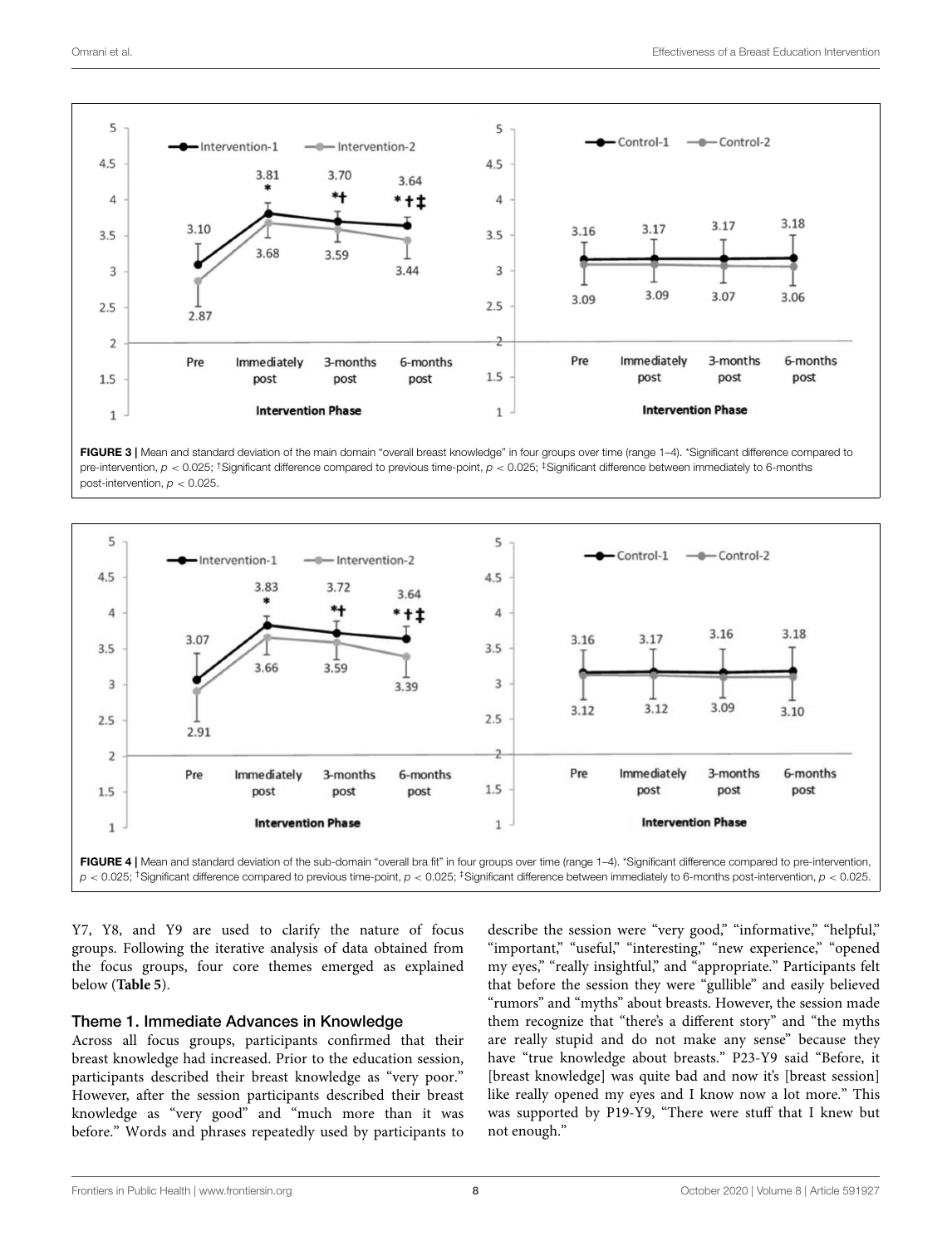

FIGURE 3 | Mean and standard deviation of the main domain "overall breast knowledge" in four groups over time (range 1-4). \*Significant difference compared to pre-intervention,  $p < 0.025$ ; <sup>†</sup>Significant difference compared to previous time-point,  $p < 0.025$ ;  $\frac{1}{2}$ Significant difference between immediately to 6-months post-intervention, *p* < 0.025.



Y7, Y8, and Y9 are used to clarify the nature of focus groups. Following the iterative analysis of data obtained from the focus groups, four core themes emerged as explained below (**Table 5**).

#### Theme 1. Immediate Advances in Knowledge

Across all focus groups, participants confirmed that their breast knowledge had increased. Prior to the education session, participants described their breast knowledge as "very poor." However, after the session participants described their breast knowledge as "very good" and "much more than it was before." Words and phrases repeatedly used by participants to describe the session were "very good," "informative," "helpful," "important," "useful," "interesting," "new experience," "opened my eyes," "really insightful," and "appropriate." Participants felt that before the session they were "gullible" and easily believed "rumors" and "myths" about breasts. However, the session made them recognize that "there's a different story" and "the myths are really stupid and do not make any sense" because they have "true knowledge about breasts." P23-Y9 said "Before, it [breast knowledge] was quite bad and now it's [breast session] like really opened my eyes and I know now a lot more." This was supported by P19-Y9, "There were stuff that I knew but not enough."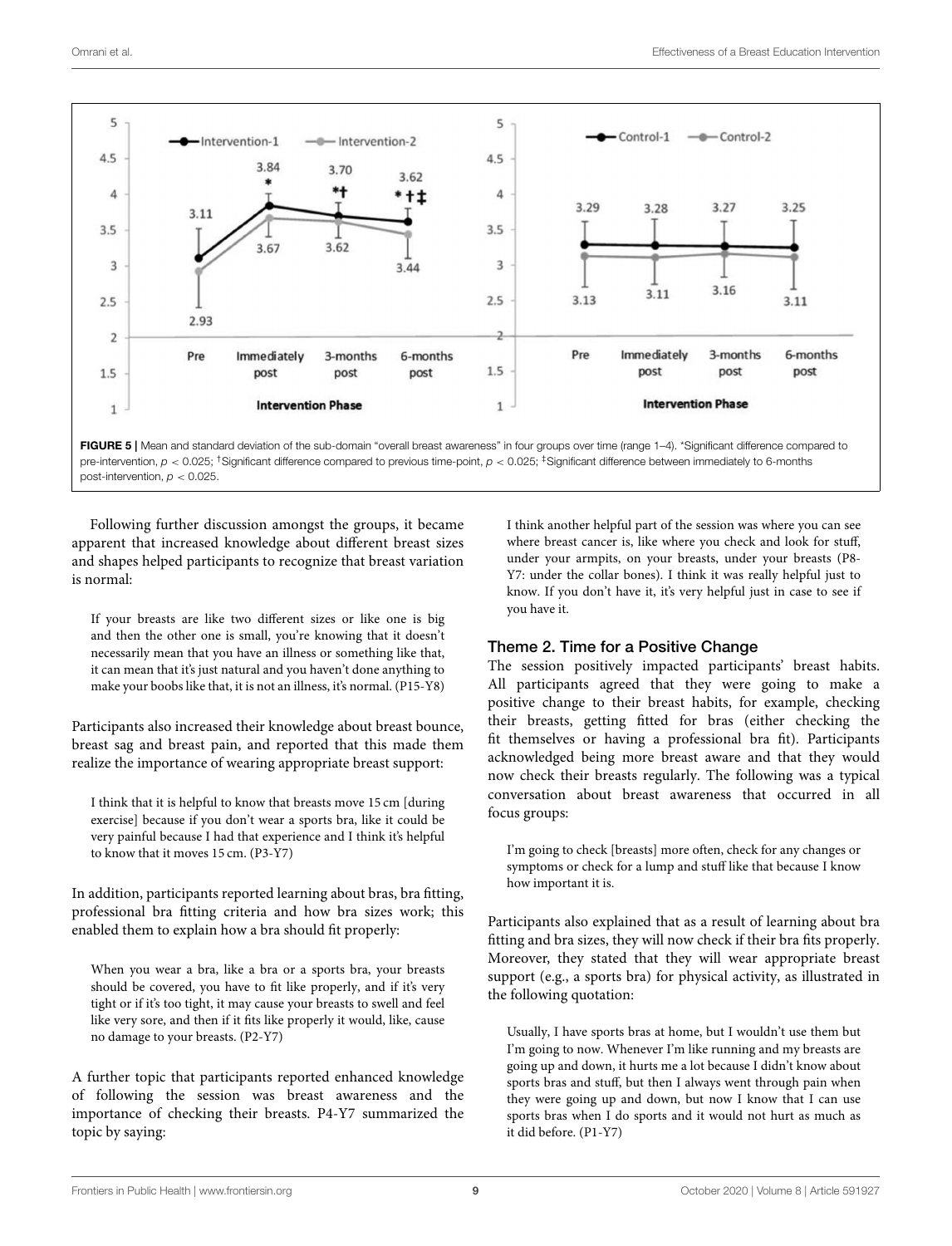

FIGURE 5 | Mean and standard deviation of the sub-domain "overall breast awareness" in four groups over time (range 1-4). \*Significant difference compared to pre-intervention, *p* < 0.025; †Significant difference compared to previous time-point, *p* < 0.025; ‡Significant difference between immediately to 6-months post-intervention, *p* < 0.025.

Following further discussion amongst the groups, it became apparent that increased knowledge about different breast sizes and shapes helped participants to recognize that breast variation is normal:

If your breasts are like two different sizes or like one is big and then the other one is small, you're knowing that it doesn't necessarily mean that you have an illness or something like that, it can mean that it's just natural and you haven't done anything to make your boobs like that, it is not an illness, it's normal. (P15-Y8)

Participants also increased their knowledge about breast bounce, breast sag and breast pain, and reported that this made them realize the importance of wearing appropriate breast support:

I think that it is helpful to know that breasts move 15 cm [during exercise] because if you don't wear a sports bra, like it could be very painful because I had that experience and I think it's helpful to know that it moves 15 cm. (P3-Y7)

In addition, participants reported learning about bras, bra fitting, professional bra fitting criteria and how bra sizes work; this enabled them to explain how a bra should fit properly:

When you wear a bra, like a bra or a sports bra, your breasts should be covered, you have to fit like properly, and if it's very tight or if it's too tight, it may cause your breasts to swell and feel like very sore, and then if it fits like properly it would, like, cause no damage to your breasts. (P2-Y7)

A further topic that participants reported enhanced knowledge of following the session was breast awareness and the importance of checking their breasts. P4-Y7 summarized the topic by saying:

I think another helpful part of the session was where you can see where breast cancer is, like where you check and look for stuff, under your armpits, on your breasts, under your breasts (P8- Y7: under the collar bones). I think it was really helpful just to know. If you don't have it, it's very helpful just in case to see if you have it.

#### Theme 2. Time for a Positive Change

The session positively impacted participants' breast habits. All participants agreed that they were going to make a positive change to their breast habits, for example, checking their breasts, getting fitted for bras (either checking the fit themselves or having a professional bra fit). Participants acknowledged being more breast aware and that they would now check their breasts regularly. The following was a typical conversation about breast awareness that occurred in all focus groups:

I'm going to check [breasts] more often, check for any changes or symptoms or check for a lump and stuff like that because I know how important it is.

Participants also explained that as a result of learning about bra fitting and bra sizes, they will now check if their bra fits properly. Moreover, they stated that they will wear appropriate breast support (e.g., a sports bra) for physical activity, as illustrated in the following quotation:

Usually, I have sports bras at home, but I wouldn't use them but I'm going to now. Whenever I'm like running and my breasts are going up and down, it hurts me a lot because I didn't know about sports bras and stuff, but then I always went through pain when they were going up and down, but now I know that I can use sports bras when I do sports and it would not hurt as much as it did before. (P1-Y7)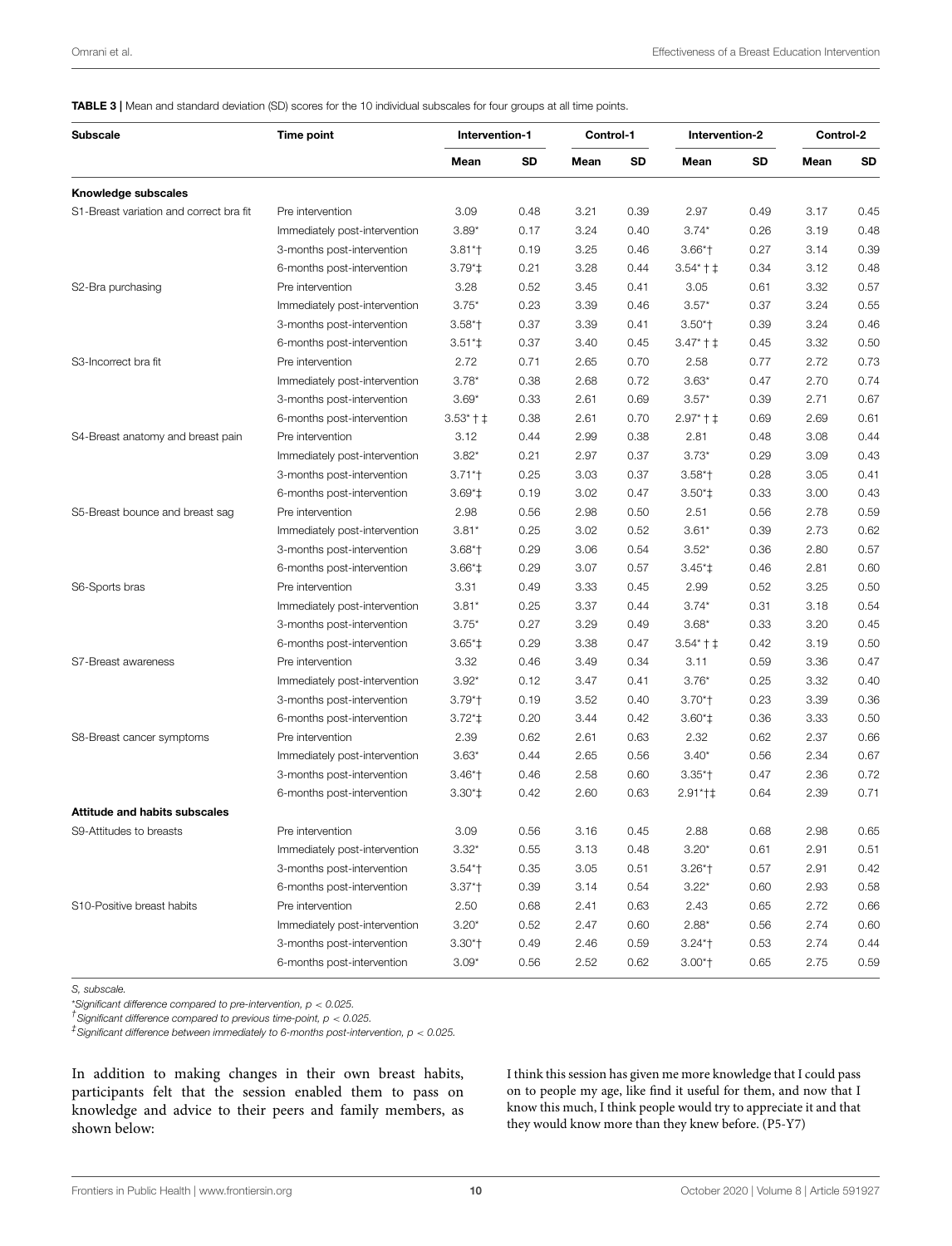TABLE 3 | Mean and standard deviation (SD) scores for the 10 individual subscales for four groups at all time points.

| <b>Subscale</b>                         | Time point                    | Intervention-1 |      | Control-1 |      | Intervention-2 |      | Control-2 |           |
|-----------------------------------------|-------------------------------|----------------|------|-----------|------|----------------|------|-----------|-----------|
|                                         |                               | Mean           | SD   | Mean      | SD   | Mean           | SD   | Mean      | <b>SD</b> |
| Knowledge subscales                     |                               |                |      |           |      |                |      |           |           |
| S1-Breast variation and correct bra fit | Pre intervention              | 3.09           | 0.48 | 3.21      | 0.39 | 2.97           | 0.49 | 3.17      | 0.45      |
|                                         | Immediately post-intervention | $3.89*$        | 0.17 | 3.24      | 0.40 | $3.74*$        | 0.26 | 3.19      | 0.48      |
|                                         | 3-months post-intervention    | $3.81*$        | 0.19 | 3.25      | 0.46 | $3.66*$        | 0.27 | 3.14      | 0.39      |
|                                         | 6-months post-intervention    | $3.79^{\ast}$  | 0.21 | 3.28      | 0.44 | $3.54*+1$      | 0.34 | 3.12      | 0.48      |
| S2-Bra purchasing                       | Pre intervention              | 3.28           | 0.52 | 3.45      | 0.41 | 3.05           | 0.61 | 3.32      | 0.57      |
|                                         | Immediately post-intervention | $3.75*$        | 0.23 | 3.39      | 0.46 | $3.57*$        | 0.37 | 3.24      | 0.55      |
|                                         | 3-months post-intervention    | $3.58*$        | 0.37 | 3.39      | 0.41 | $3.50*$        | 0.39 | 3.24      | 0.46      |
|                                         | 6-months post-intervention    | $3.51*$        | 0.37 | 3.40      | 0.45 | $3.47*+1$      | 0.45 | 3.32      | 0.50      |
| S3-Incorrect bra fit                    | Pre intervention              | 2.72           | 0.71 | 2.65      | 0.70 | 2.58           | 0.77 | 2.72      | 0.73      |
|                                         | Immediately post-intervention | $3.78*$        | 0.38 | 2.68      | 0.72 | $3.63*$        | 0.47 | 2.70      | 0.74      |
|                                         | 3-months post-intervention    | $3.69*$        | 0.33 | 2.61      | 0.69 | $3.57*$        | 0.39 | 2.71      | 0.67      |
|                                         | 6-months post-intervention    | $3.53*+1$      | 0.38 | 2.61      | 0.70 | $2.97*+1$      | 0.69 | 2.69      | 0.61      |
| S4-Breast anatomy and breast pain       | Pre intervention              | 3.12           | 0.44 | 2.99      | 0.38 | 2.81           | 0.48 | 3.08      | 0.44      |
|                                         | Immediately post-intervention | $3.82*$        | 0.21 | 2.97      | 0.37 | $3.73*$        | 0.29 | 3.09      | 0.43      |
|                                         | 3-months post-intervention    | $3.71*$        | 0.25 | 3.03      | 0.37 | $3.58*$        | 0.28 | 3.05      | 0.41      |
|                                         | 6-months post-intervention    | $3.69*$        | 0.19 | 3.02      | 0.47 | $3.50*$        | 0.33 | 3.00      | 0.43      |
| S5-Breast bounce and breast sag         | Pre intervention              | 2.98           | 0.56 | 2.98      | 0.50 | 2.51           | 0.56 | 2.78      | 0.59      |
|                                         | Immediately post-intervention | $3.81*$        | 0.25 | 3.02      | 0.52 | $3.61*$        | 0.39 | 2.73      | 0.62      |
|                                         | 3-months post-intervention    | $3.68*$        | 0.29 | 3.06      | 0.54 | $3.52*$        | 0.36 | 2.80      | 0.57      |
|                                         | 6-months post-intervention    | $3.66*$        | 0.29 | 3.07      | 0.57 | $3.45*$        | 0.46 | 2.81      | 0.60      |
| S6-Sports bras                          | Pre intervention              | 3.31           | 0.49 | 3.33      | 0.45 | 2.99           | 0.52 | 3.25      | 0.50      |
|                                         | Immediately post-intervention | $3.81*$        | 0.25 | 3.37      | 0.44 | $3.74*$        | 0.31 | 3.18      | 0.54      |
|                                         | 3-months post-intervention    | $3.75*$        | 0.27 | 3.29      | 0.49 | $3.68*$        | 0.33 | 3.20      | 0.45      |
|                                         | 6-months post-intervention    | $3.65*$        | 0.29 | 3.38      | 0.47 | $3.54*+1$      | 0.42 | 3.19      | 0.50      |
| S7-Breast awareness                     | Pre intervention              | 3.32           | 0.46 | 3.49      | 0.34 | 3.11           | 0.59 | 3.36      | 0.47      |
|                                         | Immediately post-intervention | $3.92*$        | 0.12 | 3.47      | 0.41 | $3.76*$        | 0.25 | 3.32      | 0.40      |
|                                         | 3-months post-intervention    | $3.79*$        | 0.19 | 3.52      | 0.40 | $3.70*$        | 0.23 | 3.39      | 0.36      |
|                                         | 6-months post-intervention    | $3.72^{*}$     | 0.20 | 3.44      | 0.42 | $3.60*$        | 0.36 | 3.33      | 0.50      |
| S8-Breast cancer symptoms               | Pre intervention              | 2.39           | 0.62 | 2.61      | 0.63 | 2.32           | 0.62 | 2.37      | 0.66      |
|                                         | Immediately post-intervention | $3.63*$        | 0.44 | 2.65      | 0.56 | $3.40*$        | 0.56 | 2.34      | 0.67      |
|                                         | 3-months post-intervention    | $3.46*$        | 0.46 | 2.58      | 0.60 | $3.35*$        | 0.47 | 2.36      | 0.72      |
|                                         | 6-months post-intervention    | $3.30*$        | 0.42 | 2.60      | 0.63 | $2.91*+1$      | 0.64 | 2.39      | 0.71      |
| <b>Attitude and habits subscales</b>    |                               |                |      |           |      |                |      |           |           |
| S9-Attitudes to breasts                 | Pre intervention              | 3.09           | 0.56 | 3.16      | 0.45 | 2.88           | 0.68 | 2.98      | 0.65      |
|                                         | Immediately post-intervention | $3.32*$        | 0.55 | 3.13      | 0.48 | $3.20*$        | 0.61 | 2.91      | 0.51      |
|                                         | 3-months post-intervention    | $3.54*$        | 0.35 | 3.05      | 0.51 | $3.26*$        | 0.57 | 2.91      | 0.42      |
|                                         | 6-months post-intervention    | $3.37*$        | 0.39 | 3.14      | 0.54 | $3.22*$        | 0.60 | 2.93      | 0.58      |
| S10-Positive breast habits              | Pre intervention              | 2.50           | 0.68 | 2.41      | 0.63 | 2.43           | 0.65 | 2.72      | 0.66      |
|                                         | Immediately post-intervention | $3.20*$        | 0.52 | 2.47      | 0.60 | $2.88*$        | 0.56 | 2.74      | 0.60      |
|                                         |                               |                |      |           |      |                |      |           | 0.44      |
|                                         | 3-months post-intervention    | $3.30*$        | 0.49 | 2.46      | 0.59 | $3.24*$        | 0.53 | 2.74      |           |
|                                         | 6-months post-intervention    | $3.09*$        | 0.56 | 2.52      | 0.62 | $3.00*$        | 0.65 | 2.75      | 0.59      |

*S, subscale.*

\**Significant difference compared to pre-intervention, p* < *0.025.*

*† Significant difference compared to previous time-point, p* < *0.025.*

*‡ Significant difference between immediately to 6-months post-intervention, p* < *0.025.*

In addition to making changes in their own breast habits, participants felt that the session enabled them to pass on knowledge and advice to their peers and family members, as shown below:

I think this session has given me more knowledge that I could pass on to people my age, like find it useful for them, and now that I know this much, I think people would try to appreciate it and that they would know more than they knew before. (P5-Y7)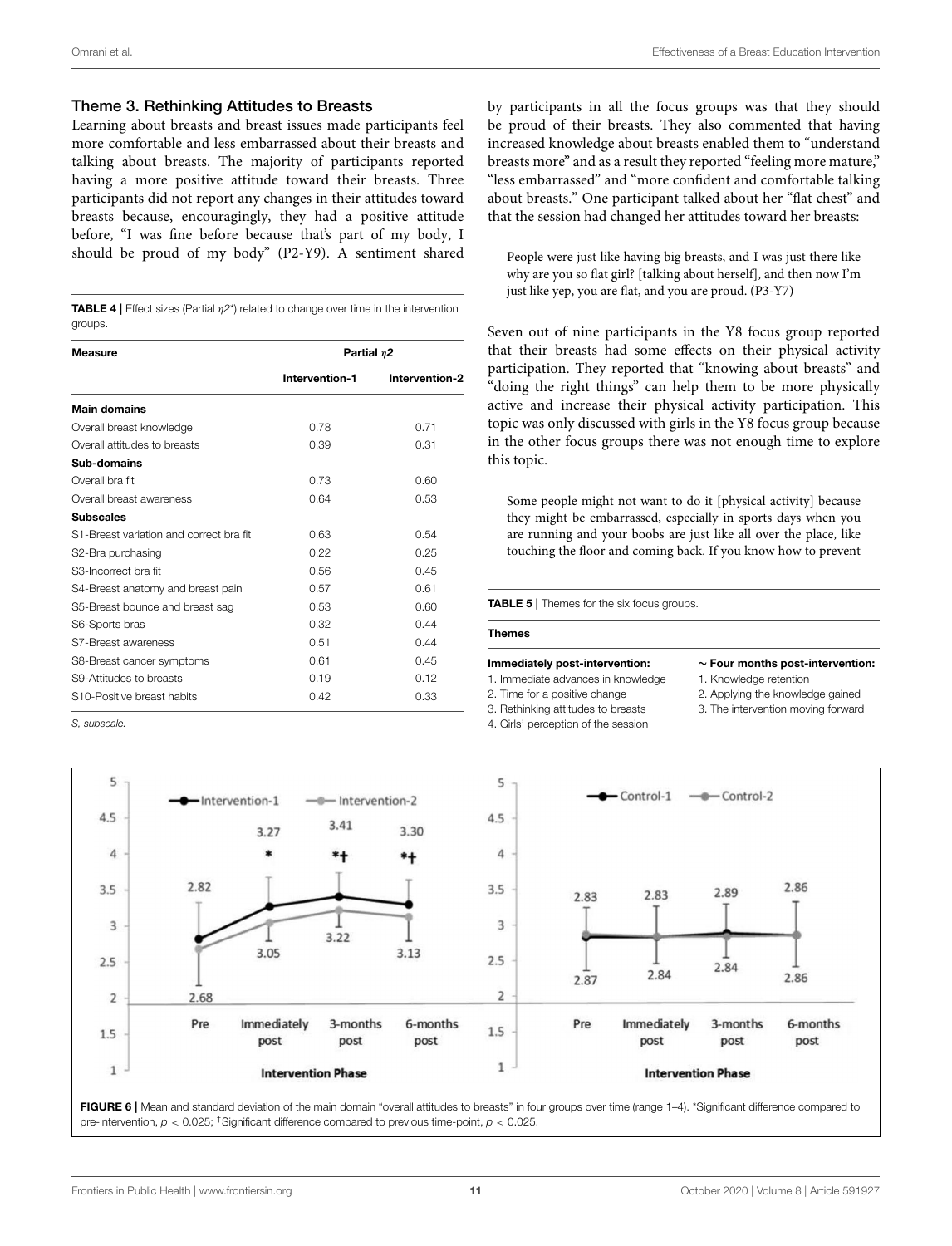#### Theme 3. Rethinking Attitudes to Breasts

Learning about breasts and breast issues made participants feel more comfortable and less embarrassed about their breasts and talking about breasts. The majority of participants reported having a more positive attitude toward their breasts. Three participants did not report any changes in their attitudes toward breasts because, encouragingly, they had a positive attitude before, "I was fine before because that's part of my body, I should be proud of my body" (P2-Y9). A sentiment shared

**TABLE 4** | Effect sizes (Partial  $n2^*$ ) related to change over time in the intervention groups.

| <b>Measure</b>                          | Partial $\eta$ 2 |                |  |  |  |
|-----------------------------------------|------------------|----------------|--|--|--|
|                                         | Intervention-1   | Intervention-2 |  |  |  |
| <b>Main domains</b>                     |                  |                |  |  |  |
| Overall breast knowledge                | 0.78             | 0.71           |  |  |  |
| Overall attitudes to breasts            | 0.39             | 0.31           |  |  |  |
| Sub-domains                             |                  |                |  |  |  |
| Overall bra fit                         | 0.73             | 0.60           |  |  |  |
| Overall breast awareness                | 0.64             | 0.53           |  |  |  |
| <b>Subscales</b>                        |                  |                |  |  |  |
| S1-Breast variation and correct bra fit | 0.63             | 0.54           |  |  |  |
| S2-Bra purchasing                       | 0.22             | 0.25           |  |  |  |
| S3-Incorrect bra fit                    | 0.56             | 0.45           |  |  |  |
| S4-Breast anatomy and breast pain       | 0.57             | 0.61           |  |  |  |
| S5-Breast bounce and breast sag         | 0.53             | 0.60           |  |  |  |
| S6-Sports bras                          | 0.32             | 0.44           |  |  |  |
| S7-Breast awareness                     | 0.51             | 0.44           |  |  |  |
| S8-Breast cancer symptoms               | 0.61             | 0.45           |  |  |  |
| S9-Attitudes to breasts                 | 0.19             | 0.12           |  |  |  |
| S <sub>10</sub> -Positive breast habits | 0.42             | 0.33           |  |  |  |

*S, subscale.*

by participants in all the focus groups was that they should be proud of their breasts. They also commented that having increased knowledge about breasts enabled them to "understand breasts more" and as a result they reported "feeling more mature," "less embarrassed" and "more confident and comfortable talking about breasts." One participant talked about her "flat chest" and that the session had changed her attitudes toward her breasts:

People were just like having big breasts, and I was just there like why are you so flat girl? [talking about herself], and then now I'm just like yep, you are flat, and you are proud. (P3-Y7)

Seven out of nine participants in the Y8 focus group reported that their breasts had some effects on their physical activity participation. They reported that "knowing about breasts" and "doing the right things" can help them to be more physically active and increase their physical activity participation. This topic was only discussed with girls in the Y8 focus group because in the other focus groups there was not enough time to explore this topic.

Some people might not want to do it [physical activity] because they might be embarrassed, especially in sports days when you are running and your boobs are just like all over the place, like touching the floor and coming back. If you know how to prevent

**TABLE 5 | Themes for the six focus groups.** 

#### Themes

Immediately post-intervention: 1. Immediate advances in knowledge

- 2. Time for a positive change
	- 3. The intervention moving forward
- 3. Rethinking attitudes to breasts 4. Girls' perception of the session
- ∼ Four months post-intervention:
- 1. Knowledge retention
- 2. Applying the knowledge gained
- 



FIGURE 6 | Mean and standard deviation of the main domain "overall attitudes to breasts" in four groups over time (range 1-4). \*Significant difference compared to pre-intervention, *p* < 0.025; †Significant difference compared to previous time-point, *p* < 0.025.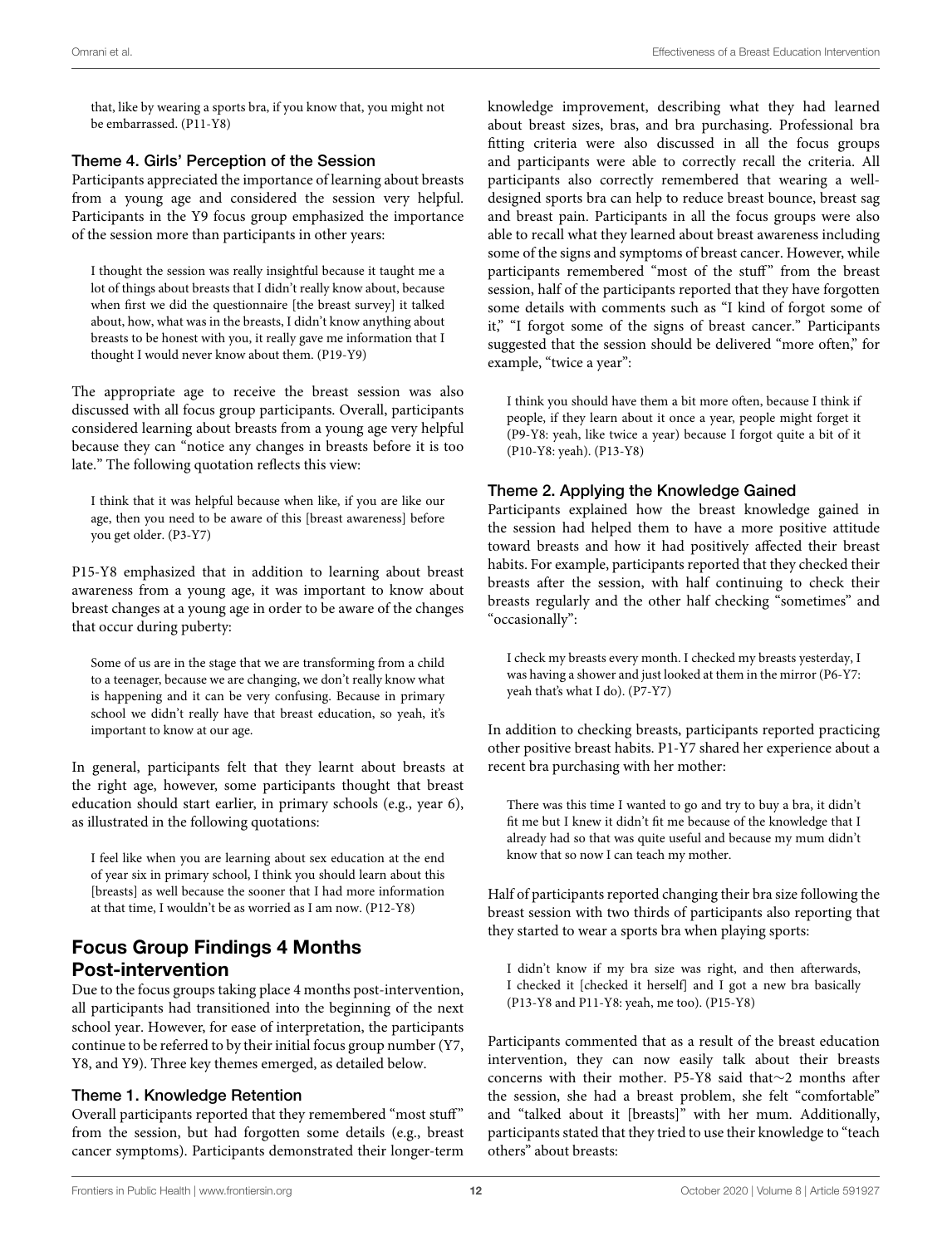that, like by wearing a sports bra, if you know that, you might not be embarrassed. (P11-Y8)

#### Theme 4. Girls' Perception of the Session

Participants appreciated the importance of learning about breasts from a young age and considered the session very helpful. Participants in the Y9 focus group emphasized the importance of the session more than participants in other years:

I thought the session was really insightful because it taught me a lot of things about breasts that I didn't really know about, because when first we did the questionnaire [the breast survey] it talked about, how, what was in the breasts, I didn't know anything about breasts to be honest with you, it really gave me information that I thought I would never know about them. (P19-Y9)

The appropriate age to receive the breast session was also discussed with all focus group participants. Overall, participants considered learning about breasts from a young age very helpful because they can "notice any changes in breasts before it is too late." The following quotation reflects this view:

I think that it was helpful because when like, if you are like our age, then you need to be aware of this [breast awareness] before you get older. (P3-Y7)

P15-Y8 emphasized that in addition to learning about breast awareness from a young age, it was important to know about breast changes at a young age in order to be aware of the changes that occur during puberty:

Some of us are in the stage that we are transforming from a child to a teenager, because we are changing, we don't really know what is happening and it can be very confusing. Because in primary school we didn't really have that breast education, so yeah, it's important to know at our age.

In general, participants felt that they learnt about breasts at the right age, however, some participants thought that breast education should start earlier, in primary schools (e.g., year 6), as illustrated in the following quotations:

I feel like when you are learning about sex education at the end of year six in primary school, I think you should learn about this [breasts] as well because the sooner that I had more information at that time, I wouldn't be as worried as I am now. (P12-Y8)

### Focus Group Findings 4 Months Post-intervention

Due to the focus groups taking place 4 months post-intervention, all participants had transitioned into the beginning of the next school year. However, for ease of interpretation, the participants continue to be referred to by their initial focus group number (Y7, Y8, and Y9). Three key themes emerged, as detailed below.

#### Theme 1. Knowledge Retention

Overall participants reported that they remembered "most stuff" from the session, but had forgotten some details (e.g., breast cancer symptoms). Participants demonstrated their longer-term knowledge improvement, describing what they had learned about breast sizes, bras, and bra purchasing. Professional bra fitting criteria were also discussed in all the focus groups and participants were able to correctly recall the criteria. All participants also correctly remembered that wearing a welldesigned sports bra can help to reduce breast bounce, breast sag and breast pain. Participants in all the focus groups were also able to recall what they learned about breast awareness including some of the signs and symptoms of breast cancer. However, while participants remembered "most of the stuff" from the breast session, half of the participants reported that they have forgotten some details with comments such as "I kind of forgot some of it," "I forgot some of the signs of breast cancer." Participants suggested that the session should be delivered "more often," for example, "twice a year":

I think you should have them a bit more often, because I think if people, if they learn about it once a year, people might forget it (P9-Y8: yeah, like twice a year) because I forgot quite a bit of it (P10-Y8: yeah). (P13-Y8)

#### Theme 2. Applying the Knowledge Gained

Participants explained how the breast knowledge gained in the session had helped them to have a more positive attitude toward breasts and how it had positively affected their breast habits. For example, participants reported that they checked their breasts after the session, with half continuing to check their breasts regularly and the other half checking "sometimes" and "occasionally":

I check my breasts every month. I checked my breasts yesterday, I was having a shower and just looked at them in the mirror (P6-Y7: yeah that's what I do). (P7-Y7)

In addition to checking breasts, participants reported practicing other positive breast habits. P1-Y7 shared her experience about a recent bra purchasing with her mother:

There was this time I wanted to go and try to buy a bra, it didn't fit me but I knew it didn't fit me because of the knowledge that I already had so that was quite useful and because my mum didn't know that so now I can teach my mother.

Half of participants reported changing their bra size following the breast session with two thirds of participants also reporting that they started to wear a sports bra when playing sports:

I didn't know if my bra size was right, and then afterwards, I checked it [checked it herself] and I got a new bra basically (P13-Y8 and P11-Y8: yeah, me too). (P15-Y8)

Participants commented that as a result of the breast education intervention, they can now easily talk about their breasts concerns with their mother. P5-Y8 said that∼2 months after the session, she had a breast problem, she felt "comfortable" and "talked about it [breasts]" with her mum. Additionally, participants stated that they tried to use their knowledge to "teach others" about breasts: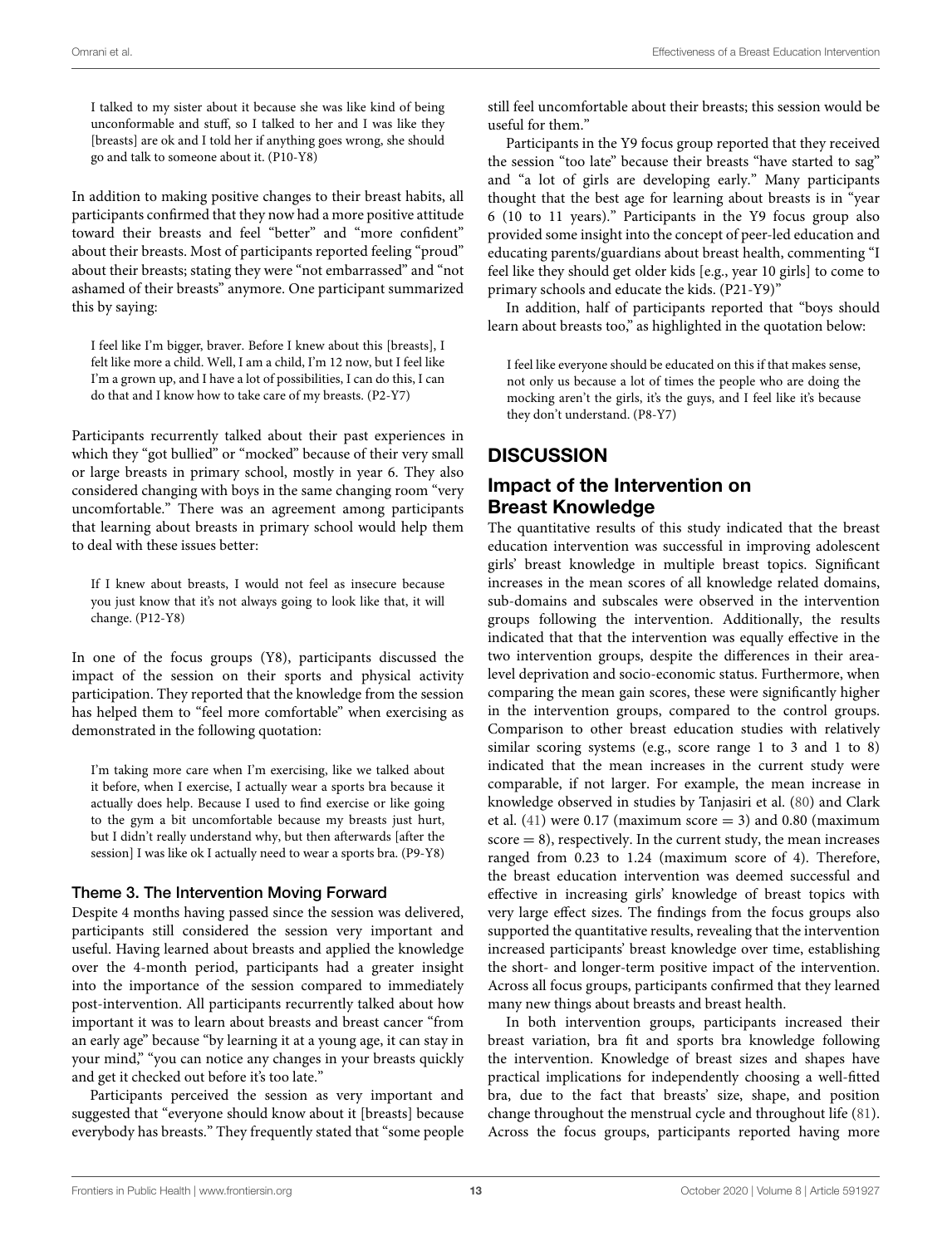I talked to my sister about it because she was like kind of being unconformable and stuff, so I talked to her and I was like they [breasts] are ok and I told her if anything goes wrong, she should go and talk to someone about it. (P10-Y8)

In addition to making positive changes to their breast habits, all participants confirmed that they now had a more positive attitude toward their breasts and feel "better" and "more confident" about their breasts. Most of participants reported feeling "proud" about their breasts; stating they were "not embarrassed" and "not ashamed of their breasts" anymore. One participant summarized this by saying:

I feel like I'm bigger, braver. Before I knew about this [breasts], I felt like more a child. Well, I am a child, I'm 12 now, but I feel like I'm a grown up, and I have a lot of possibilities, I can do this, I can do that and I know how to take care of my breasts. (P2-Y7)

Participants recurrently talked about their past experiences in which they "got bullied" or "mocked" because of their very small or large breasts in primary school, mostly in year 6. They also considered changing with boys in the same changing room "very uncomfortable." There was an agreement among participants that learning about breasts in primary school would help them to deal with these issues better:

If I knew about breasts, I would not feel as insecure because you just know that it's not always going to look like that, it will change. (P12-Y8)

In one of the focus groups (Y8), participants discussed the impact of the session on their sports and physical activity participation. They reported that the knowledge from the session has helped them to "feel more comfortable" when exercising as demonstrated in the following quotation:

I'm taking more care when I'm exercising, like we talked about it before, when I exercise, I actually wear a sports bra because it actually does help. Because I used to find exercise or like going to the gym a bit uncomfortable because my breasts just hurt, but I didn't really understand why, but then afterwards [after the session] I was like ok I actually need to wear a sports bra. (P9-Y8)

#### Theme 3. The Intervention Moving Forward

Despite 4 months having passed since the session was delivered, participants still considered the session very important and useful. Having learned about breasts and applied the knowledge over the 4-month period, participants had a greater insight into the importance of the session compared to immediately post-intervention. All participants recurrently talked about how important it was to learn about breasts and breast cancer "from an early age" because "by learning it at a young age, it can stay in your mind," "you can notice any changes in your breasts quickly and get it checked out before it's too late."

Participants perceived the session as very important and suggested that "everyone should know about it [breasts] because everybody has breasts." They frequently stated that "some people still feel uncomfortable about their breasts; this session would be useful for them."

Participants in the Y9 focus group reported that they received the session "too late" because their breasts "have started to sag" and "a lot of girls are developing early." Many participants thought that the best age for learning about breasts is in "year 6 (10 to 11 years)." Participants in the Y9 focus group also provided some insight into the concept of peer-led education and educating parents/guardians about breast health, commenting "I feel like they should get older kids [e.g., year 10 girls] to come to primary schools and educate the kids. (P21-Y9)"

In addition, half of participants reported that "boys should learn about breasts too," as highlighted in the quotation below:

I feel like everyone should be educated on this if that makes sense, not only us because a lot of times the people who are doing the mocking aren't the girls, it's the guys, and I feel like it's because they don't understand. (P8-Y7)

# **DISCUSSION**

### Impact of the Intervention on Breast Knowledge

The quantitative results of this study indicated that the breast education intervention was successful in improving adolescent girls' breast knowledge in multiple breast topics. Significant increases in the mean scores of all knowledge related domains, sub-domains and subscales were observed in the intervention groups following the intervention. Additionally, the results indicated that that the intervention was equally effective in the two intervention groups, despite the differences in their arealevel deprivation and socio-economic status. Furthermore, when comparing the mean gain scores, these were significantly higher in the intervention groups, compared to the control groups. Comparison to other breast education studies with relatively similar scoring systems (e.g., score range 1 to 3 and 1 to 8) indicated that the mean increases in the current study were comparable, if not larger. For example, the mean increase in knowledge observed in studies by Tanjasiri et al. (80) and Clark et al.  $(41)$  were 0.17 (maximum score = 3) and 0.80 (maximum  $score = 8$ , respectively. In the current study, the mean increases ranged from 0.23 to 1.24 (maximum score of 4). Therefore, the breast education intervention was deemed successful and effective in increasing girls' knowledge of breast topics with very large effect sizes. The findings from the focus groups also supported the quantitative results, revealing that the intervention increased participants' breast knowledge over time, establishing the short- and longer-term positive impact of the intervention. Across all focus groups, participants confirmed that they learned many new things about breasts and breast health.

In both intervention groups, participants increased their breast variation, bra fit and sports bra knowledge following the intervention. Knowledge of breast sizes and shapes have practical implications for independently choosing a well-fitted bra, due to the fact that breasts' size, shape, and position change throughout the menstrual cycle and throughout life (81). Across the focus groups, participants reported having more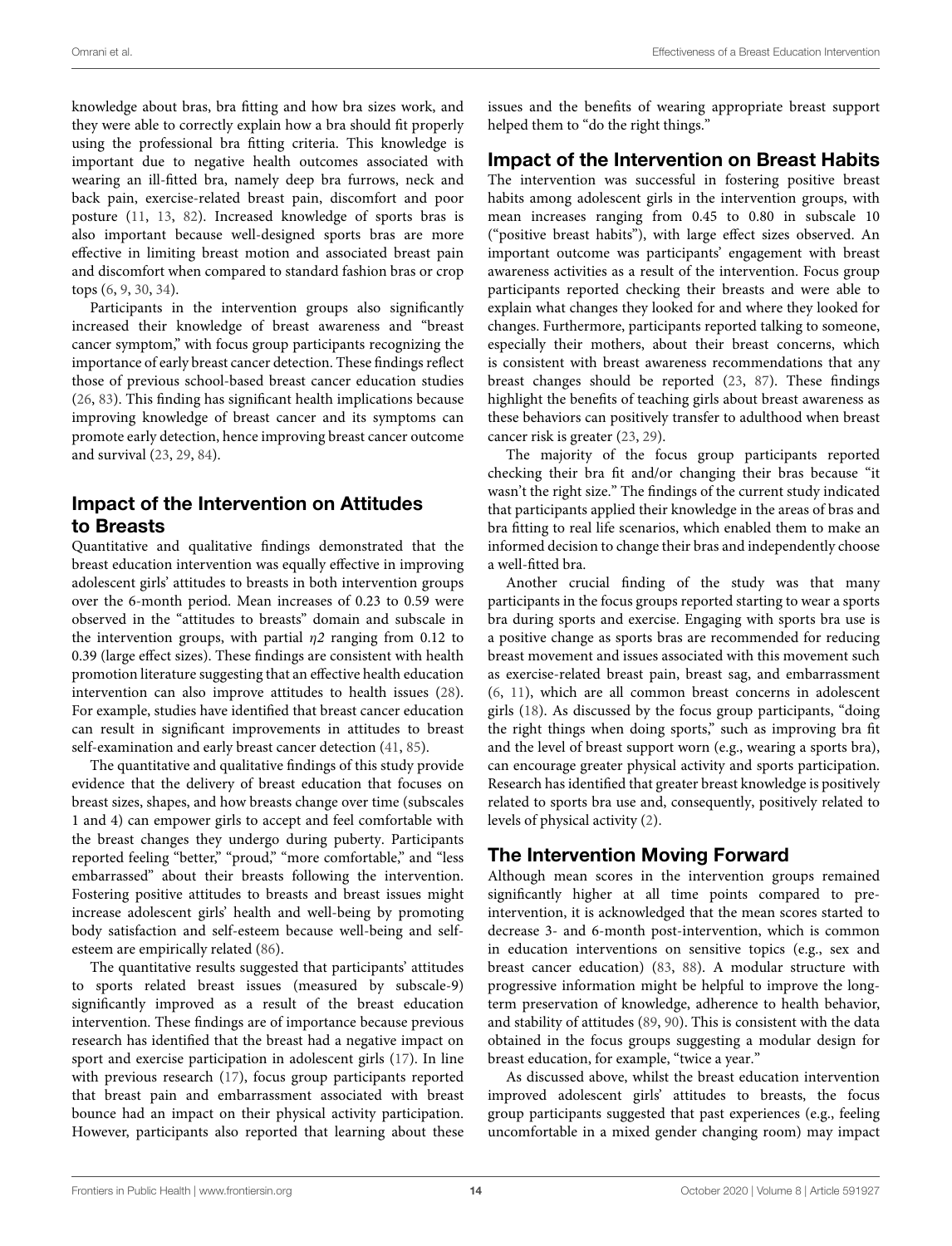knowledge about bras, bra fitting and how bra sizes work, and they were able to correctly explain how a bra should fit properly using the professional bra fitting criteria. This knowledge is important due to negative health outcomes associated with wearing an ill-fitted bra, namely deep bra furrows, neck and back pain, exercise-related breast pain, discomfort and poor posture (11, 13, 82). Increased knowledge of sports bras is also important because well-designed sports bras are more effective in limiting breast motion and associated breast pain and discomfort when compared to standard fashion bras or crop tops (6, 9, 30, 34).

Participants in the intervention groups also significantly increased their knowledge of breast awareness and "breast cancer symptom," with focus group participants recognizing the importance of early breast cancer detection. These findings reflect those of previous school-based breast cancer education studies (26, 83). This finding has significant health implications because improving knowledge of breast cancer and its symptoms can promote early detection, hence improving breast cancer outcome and survival (23, 29, 84).

## Impact of the Intervention on Attitudes to Breasts

Quantitative and qualitative findings demonstrated that the breast education intervention was equally effective in improving adolescent girls' attitudes to breasts in both intervention groups over the 6-month period. Mean increases of 0.23 to 0.59 were observed in the "attitudes to breasts" domain and subscale in the intervention groups, with partial  $\eta$ 2 ranging from 0.12 to 0.39 (large effect sizes). These findings are consistent with health promotion literature suggesting that an effective health education intervention can also improve attitudes to health issues (28). For example, studies have identified that breast cancer education can result in significant improvements in attitudes to breast self-examination and early breast cancer detection (41, 85).

The quantitative and qualitative findings of this study provide evidence that the delivery of breast education that focuses on breast sizes, shapes, and how breasts change over time (subscales 1 and 4) can empower girls to accept and feel comfortable with the breast changes they undergo during puberty. Participants reported feeling "better," "proud," "more comfortable," and "less embarrassed" about their breasts following the intervention. Fostering positive attitudes to breasts and breast issues might increase adolescent girls' health and well-being by promoting body satisfaction and self-esteem because well-being and selfesteem are empirically related (86).

The quantitative results suggested that participants' attitudes to sports related breast issues (measured by subscale-9) significantly improved as a result of the breast education intervention. These findings are of importance because previous research has identified that the breast had a negative impact on sport and exercise participation in adolescent girls (17). In line with previous research (17), focus group participants reported that breast pain and embarrassment associated with breast bounce had an impact on their physical activity participation. However, participants also reported that learning about these issues and the benefits of wearing appropriate breast support helped them to "do the right things."

### Impact of the Intervention on Breast Habits

The intervention was successful in fostering positive breast habits among adolescent girls in the intervention groups, with mean increases ranging from 0.45 to 0.80 in subscale 10 ("positive breast habits"), with large effect sizes observed. An important outcome was participants' engagement with breast awareness activities as a result of the intervention. Focus group participants reported checking their breasts and were able to explain what changes they looked for and where they looked for changes. Furthermore, participants reported talking to someone, especially their mothers, about their breast concerns, which is consistent with breast awareness recommendations that any breast changes should be reported (23, 87). These findings highlight the benefits of teaching girls about breast awareness as these behaviors can positively transfer to adulthood when breast cancer risk is greater (23, 29).

The majority of the focus group participants reported checking their bra fit and/or changing their bras because "it wasn't the right size." The findings of the current study indicated that participants applied their knowledge in the areas of bras and bra fitting to real life scenarios, which enabled them to make an informed decision to change their bras and independently choose a well-fitted bra.

Another crucial finding of the study was that many participants in the focus groups reported starting to wear a sports bra during sports and exercise. Engaging with sports bra use is a positive change as sports bras are recommended for reducing breast movement and issues associated with this movement such as exercise-related breast pain, breast sag, and embarrassment (6, 11), which are all common breast concerns in adolescent girls (18). As discussed by the focus group participants, "doing the right things when doing sports," such as improving bra fit and the level of breast support worn (e.g., wearing a sports bra), can encourage greater physical activity and sports participation. Research has identified that greater breast knowledge is positively related to sports bra use and, consequently, positively related to levels of physical activity (2).

### The Intervention Moving Forward

Although mean scores in the intervention groups remained significantly higher at all time points compared to preintervention, it is acknowledged that the mean scores started to decrease 3- and 6-month post-intervention, which is common in education interventions on sensitive topics (e.g., sex and breast cancer education) (83, 88). A modular structure with progressive information might be helpful to improve the longterm preservation of knowledge, adherence to health behavior, and stability of attitudes (89, 90). This is consistent with the data obtained in the focus groups suggesting a modular design for breast education, for example, "twice a year."

As discussed above, whilst the breast education intervention improved adolescent girls' attitudes to breasts, the focus group participants suggested that past experiences (e.g., feeling uncomfortable in a mixed gender changing room) may impact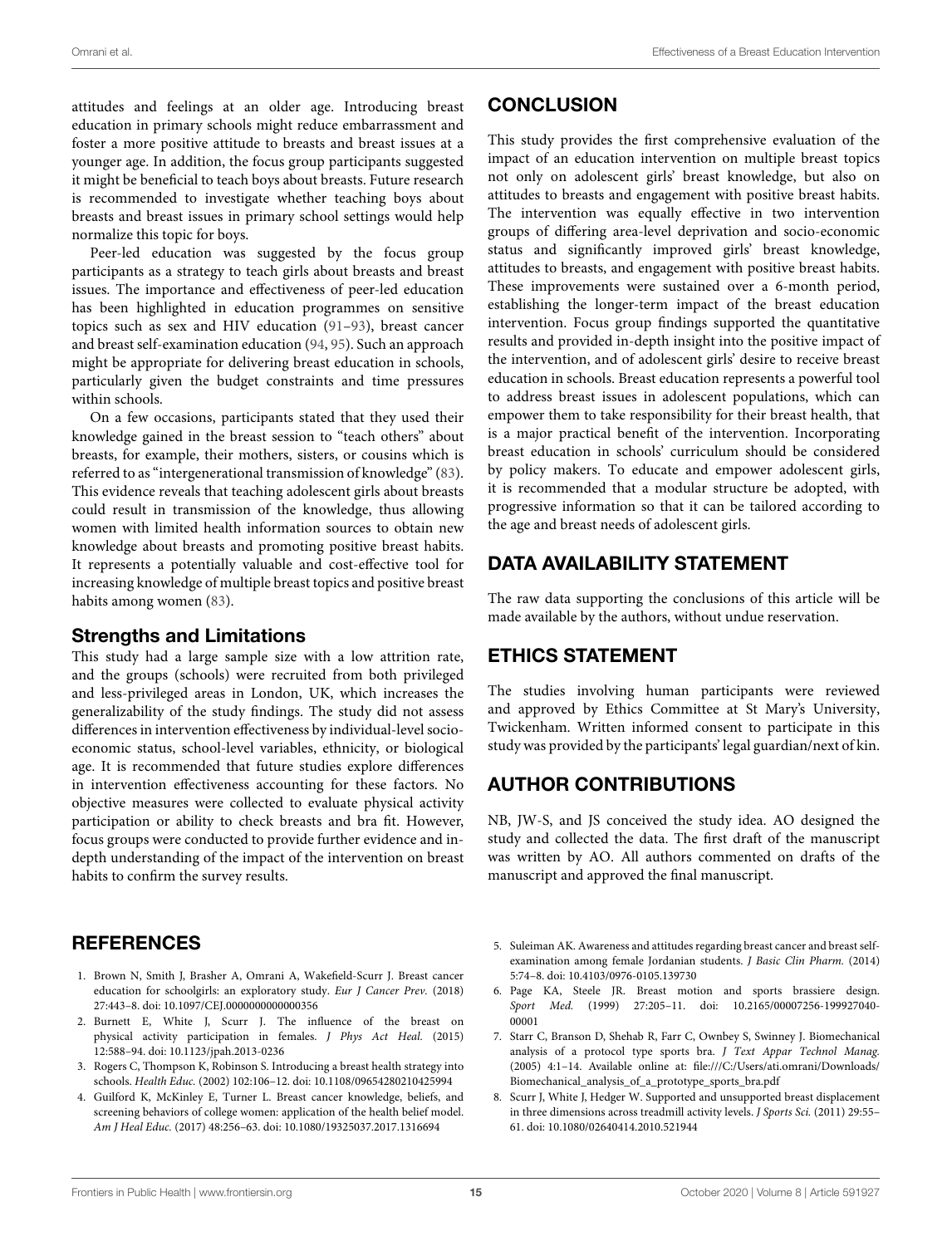attitudes and feelings at an older age. Introducing breast education in primary schools might reduce embarrassment and foster a more positive attitude to breasts and breast issues at a younger age. In addition, the focus group participants suggested it might be beneficial to teach boys about breasts. Future research is recommended to investigate whether teaching boys about breasts and breast issues in primary school settings would help normalize this topic for boys.

Peer-led education was suggested by the focus group participants as a strategy to teach girls about breasts and breast issues. The importance and effectiveness of peer-led education has been highlighted in education programmes on sensitive topics such as sex and HIV education (91–93), breast cancer and breast self-examination education (94, 95). Such an approach might be appropriate for delivering breast education in schools, particularly given the budget constraints and time pressures within schools.

On a few occasions, participants stated that they used their knowledge gained in the breast session to "teach others" about breasts, for example, their mothers, sisters, or cousins which is referred to as "intergenerational transmission of knowledge" (83). This evidence reveals that teaching adolescent girls about breasts could result in transmission of the knowledge, thus allowing women with limited health information sources to obtain new knowledge about breasts and promoting positive breast habits. It represents a potentially valuable and cost-effective tool for increasing knowledge of multiple breast topics and positive breast habits among women (83).

#### Strengths and Limitations

This study had a large sample size with a low attrition rate, and the groups (schools) were recruited from both privileged and less-privileged areas in London, UK, which increases the generalizability of the study findings. The study did not assess differences in intervention effectiveness by individual-level socioeconomic status, school-level variables, ethnicity, or biological age. It is recommended that future studies explore differences in intervention effectiveness accounting for these factors. No objective measures were collected to evaluate physical activity participation or ability to check breasts and bra fit. However, focus groups were conducted to provide further evidence and indepth understanding of the impact of the intervention on breast habits to confirm the survey results.

### **REFERENCES**

- 1. Brown N, Smith J, Brasher A, Omrani A, Wakefield-Scurr J. Breast cancer education for schoolgirls: an exploratory study. Eur J Cancer Prev. (2018) 27:443–8. doi: 10.1097/CEJ.0000000000000356
- 2. Burnett E, White J, Scurr J. The influence of the breast on physical activity participation in females. J Phys Act Heal. (2015) 12:588–94. doi: 10.1123/jpah.2013-0236
- 3. Rogers C, Thompson K, Robinson S. Introducing a breast health strategy into schools. Health Educ. (2002) 102:106–12. doi: 10.1108/09654280210425994
- 4. Guilford K, McKinley E, Turner L. Breast cancer knowledge, beliefs, and screening behaviors of college women: application of the health belief model. Am J Heal Educ. (2017) 48:256–63. doi: 10.1080/19325037.2017.1316694

### **CONCLUSION**

This study provides the first comprehensive evaluation of the impact of an education intervention on multiple breast topics not only on adolescent girls' breast knowledge, but also on attitudes to breasts and engagement with positive breast habits. The intervention was equally effective in two intervention groups of differing area-level deprivation and socio-economic status and significantly improved girls' breast knowledge, attitudes to breasts, and engagement with positive breast habits. These improvements were sustained over a 6-month period, establishing the longer-term impact of the breast education intervention. Focus group findings supported the quantitative results and provided in-depth insight into the positive impact of the intervention, and of adolescent girls' desire to receive breast education in schools. Breast education represents a powerful tool to address breast issues in adolescent populations, which can empower them to take responsibility for their breast health, that is a major practical benefit of the intervention. Incorporating breast education in schools' curriculum should be considered by policy makers. To educate and empower adolescent girls, it is recommended that a modular structure be adopted, with progressive information so that it can be tailored according to the age and breast needs of adolescent girls.

# DATA AVAILABILITY STATEMENT

The raw data supporting the conclusions of this article will be made available by the authors, without undue reservation.

### ETHICS STATEMENT

The studies involving human participants were reviewed and approved by Ethics Committee at St Mary's University, Twickenham. Written informed consent to participate in this study was provided by the participants' legal guardian/next of kin.

### AUTHOR CONTRIBUTIONS

NB, JW-S, and JS conceived the study idea. AO designed the study and collected the data. The first draft of the manuscript was written by AO. All authors commented on drafts of the manuscript and approved the final manuscript.

- 5. Suleiman AK. Awareness and attitudes regarding breast cancer and breast selfexamination among female Jordanian students. J Basic Clin Pharm. (2014) 5:74–8. doi: 10.4103/0976-0105.139730
- 6. Page KA, Steele JR. Breast motion and sports brassiere design. Sport Med. (1999) 27:205–11. doi: 10.2165/00007256-199927040- 00001
- 7. Starr C, Branson D, Shehab R, Farr C, Ownbey S, Swinney J. Biomechanical analysis of a protocol type sports bra. J Text Appar Technol Manag. (2005) 4:1–14. Available online at: file:///C:/Users/ati.omrani/Downloads/ Biomechanical\_analysis\_of\_a\_prototype\_sports\_bra.pdf
- 8. Scurr J, White J, Hedger W. Supported and unsupported breast displacement in three dimensions across treadmill activity levels. J Sports Sci. (2011) 29:55– 61. doi: 10.1080/02640414.2010.521944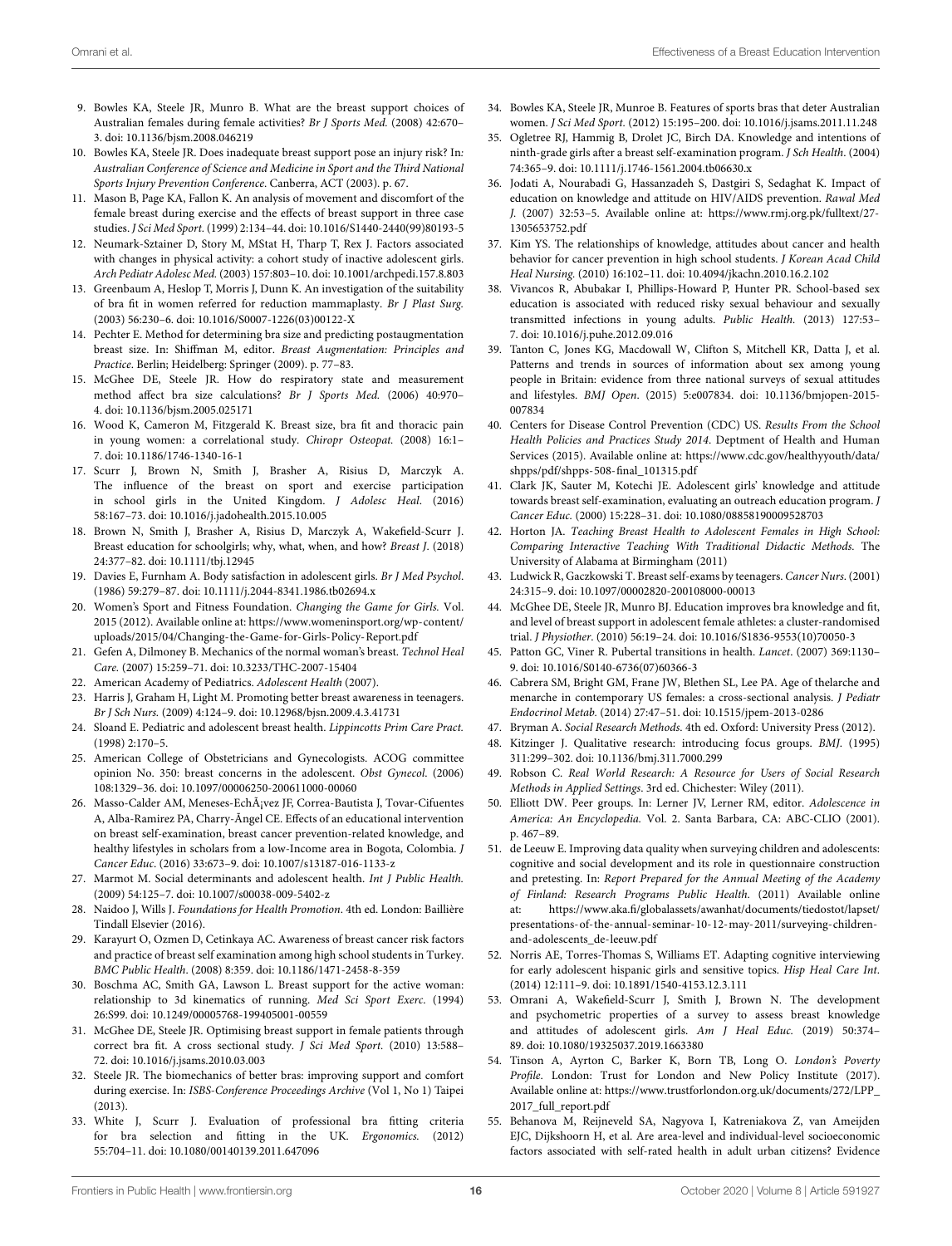- 9. Bowles KA, Steele JR, Munro B. What are the breast support choices of Australian females during female activities? Br J Sports Med. (2008) 42:670– 3. doi: 10.1136/bjsm.2008.046219
- 10. Bowles KA, Steele JR. Does inadequate breast support pose an injury risk? In: Australian Conference of Science and Medicine in Sport and the Third National Sports Injury Prevention Conference. Canberra, ACT (2003). p. 67.
- 11. Mason B, Page KA, Fallon K. An analysis of movement and discomfort of the female breast during exercise and the effects of breast support in three case studies. J Sci Med Sport. (1999) 2:134–44. doi: 10.1016/S1440-2440(99)80193-5
- 12. Neumark-Sztainer D, Story M, MStat H, Tharp T, Rex J. Factors associated with changes in physical activity: a cohort study of inactive adolescent girls. Arch Pediatr Adolesc Med. (2003) 157:803–10. doi: 10.1001/archpedi.157.8.803
- 13. Greenbaum A, Heslop T, Morris J, Dunn K. An investigation of the suitability of bra fit in women referred for reduction mammaplasty. Br J Plast Surg. (2003) 56:230–6. doi: 10.1016/S0007-1226(03)00122-X
- 14. Pechter E. Method for determining bra size and predicting postaugmentation breast size. In: Shiffman M, editor. Breast Augmentation: Principles and Practice. Berlin; Heidelberg: Springer (2009). p. 77–83.
- 15. McGhee DE, Steele JR. How do respiratory state and measurement method affect bra size calculations? Br J Sports Med. (2006) 40:970– 4. doi: 10.1136/bjsm.2005.025171
- 16. Wood K, Cameron M, Fitzgerald K. Breast size, bra fit and thoracic pain in young women: a correlational study. Chiropr Osteopat. (2008) 16:1– 7. doi: 10.1186/1746-1340-16-1
- 17. Scurr J, Brown N, Smith J, Brasher A, Risius D, Marczyk A. The influence of the breast on sport and exercise participation in school girls in the United Kingdom. J Adolesc Heal. (2016) 58:167–73. doi: 10.1016/j.jadohealth.2015.10.005
- 18. Brown N, Smith J, Brasher A, Risius D, Marczyk A, Wakefield-Scurr J. Breast education for schoolgirls; why, what, when, and how? Breast J. (2018) 24:377–82. doi: 10.1111/tbj.12945
- 19. Davies E, Furnham A. Body satisfaction in adolescent girls. Br J Med Psychol. (1986) 59:279–87. doi: 10.1111/j.2044-8341.1986.tb02694.x
- 20. Women's Sport and Fitness Foundation. Changing the Game for Girls. Vol. 2015 (2012). Available online at: https://www.womeninsport.org/wp-content/ uploads/2015/04/Changing-the-Game-for-Girls-Policy-Report.pdf
- 21. Gefen A, Dilmoney B. Mechanics of the normal woman's breast. Technol Heal Care. (2007) 15:259–71. doi: 10.3233/THC-2007-15404
- 22. American Academy of Pediatrics. Adolescent Health (2007).
- Harris J, Graham H, Light M. Promoting better breast awareness in teenagers. Br J Sch Nurs. (2009) 4:124–9. doi: 10.12968/bjsn.2009.4.3.41731
- 24. Sloand E. Pediatric and adolescent breast health. Lippincotts Prim Care Pract. (1998) 2:170–5.
- 25. American College of Obstetricians and Gynecologists. ACOG committee opinion No. 350: breast concerns in the adolescent. Obst Gynecol. (2006) 108:1329–36. doi: 10.1097/00006250-200611000-00060
- 26. Masso-Calder AM, Meneses-Echávez JF, Correa-Bautista J, Tovar-Cifuentes A, Alba-Ramirez PA, Charry-Ãngel CE. Effects of an educational intervention on breast self-examination, breast cancer prevention-related knowledge, and healthy lifestyles in scholars from a low-Income area in Bogota, Colombia. J Cancer Educ. (2016) 33:673–9. doi: 10.1007/s13187-016-1133-z
- 27. Marmot M. Social determinants and adolescent health. Int J Public Health. (2009) 54:125–7. doi: 10.1007/s00038-009-5402-z
- Naidoo J, Wills J. Foundations for Health Promotion. 4th ed. London: Baillière Tindall Elsevier (2016).
- 29. Karayurt O, Ozmen D, Cetinkaya AC. Awareness of breast cancer risk factors and practice of breast self examination among high school students in Turkey. BMC Public Health. (2008) 8:359. doi: 10.1186/1471-2458-8-359
- 30. Boschma AC, Smith GA, Lawson L. Breast support for the active woman: relationship to 3d kinematics of running. Med Sci Sport Exerc. (1994) 26:S99. doi: 10.1249/00005768-199405001-00559
- 31. McGhee DE, Steele JR. Optimising breast support in female patients through correct bra fit. A cross sectional study. J Sci Med Sport. (2010) 13:588– 72. doi: 10.1016/j.jsams.2010.03.003
- 32. Steele JR. The biomechanics of better bras: improving support and comfort during exercise. In: ISBS-Conference Proceedings Archive (Vol 1, No 1) Taipei (2013).
- 33. White J, Scurr J. Evaluation of professional bra fitting criteria for bra selection and fitting in the UK. Ergonomics. (2012) 55:704–11. doi: 10.1080/00140139.2011.647096
- 34. Bowles KA, Steele JR, Munroe B. Features of sports bras that deter Australian women. J Sci Med Sport. (2012) 15:195–200. doi: 10.1016/j.jsams.2011.11.248
- 35. Ogletree RJ, Hammig B, Drolet JC, Birch DA. Knowledge and intentions of ninth-grade girls after a breast self-examination program. J Sch Health. (2004) 74:365–9. doi: 10.1111/j.1746-1561.2004.tb06630.x
- 36. Jodati A, Nourabadi G, Hassanzadeh S, Dastgiri S, Sedaghat K. Impact of education on knowledge and attitude on HIV/AIDS prevention. Rawal Med J. (2007) 32:53–5. Available online at: https://www.rmj.org.pk/fulltext/27- 1305653752.pdf
- 37. Kim YS. The relationships of knowledge, attitudes about cancer and health behavior for cancer prevention in high school students. J Korean Acad Child Heal Nursing. (2010) 16:102–11. doi: 10.4094/jkachn.2010.16.2.102
- 38. Vivancos R, Abubakar I, Phillips-Howard P, Hunter PR. School-based sex education is associated with reduced risky sexual behaviour and sexually transmitted infections in young adults. Public Health. (2013) 127:53– 7. doi: 10.1016/j.puhe.2012.09.016
- 39. Tanton C, Jones KG, Macdowall W, Clifton S, Mitchell KR, Datta J, et al. Patterns and trends in sources of information about sex among young people in Britain: evidence from three national surveys of sexual attitudes and lifestyles. BMJ Open. (2015) 5:e007834. doi: 10.1136/bmjopen-2015- 007834
- 40. Centers for Disease Control Prevention (CDC) US. Results From the School Health Policies and Practices Study 2014. Deptment of Health and Human Services (2015). Available online at: https://www.cdc.gov/healthyyouth/data/ shpps/pdf/shpps-508-final\_101315.pdf
- 41. Clark JK, Sauter M, Kotechi JE. Adolescent girls' knowledge and attitude towards breast self-examination, evaluating an outreach education program. J Cancer Educ. (2000) 15:228–31. doi: 10.1080/08858190009528703
- 42. Horton JA. Teaching Breast Health to Adolescent Females in High School: Comparing Interactive Teaching With Traditional Didactic Methods. The University of Alabama at Birmingham (2011)
- 43. Ludwick R, Gaczkowski T. Breast self-exams by teenagers. Cancer Nurs. (2001) 24:315–9. doi: 10.1097/00002820-200108000-00013
- 44. McGhee DE, Steele JR, Munro BJ. Education improves bra knowledge and fit, and level of breast support in adolescent female athletes: a cluster-randomised trial. J Physiother. (2010) 56:19–24. doi: 10.1016/S1836-9553(10)70050-3
- 45. Patton GC, Viner R. Pubertal transitions in health. Lancet. (2007) 369:1130– 9. doi: 10.1016/S0140-6736(07)60366-3
- 46. Cabrera SM, Bright GM, Frane JW, Blethen SL, Lee PA. Age of thelarche and menarche in contemporary US females: a cross-sectional analysis. J Pediatr Endocrinol Metab. (2014) 27:47–51. doi: 10.1515/jpem-2013-0286
- 47. Bryman A. Social Research Methods. 4th ed. Oxford: University Press (2012).
- 48. Kitzinger J. Qualitative research: introducing focus groups. BMJ. (1995) 311:299–302. doi: 10.1136/bmj.311.7000.299
- 49. Robson C. Real World Research: A Resource for Users of Social Research Methods in Applied Settings. 3rd ed. Chichester: Wiley (2011).
- 50. Elliott DW. Peer groups. In: Lerner JV, Lerner RM, editor. Adolescence in America: An Encyclopedia. Vol. 2. Santa Barbara, CA: ABC-CLIO (2001). p. 467–89.
- 51. de Leeuw E. Improving data quality when surveying children and adolescents: cognitive and social development and its role in questionnaire construction and pretesting. In: Report Prepared for the Annual Meeting of the Academy of Finland: Research Programs Public Health. (2011) Available online at: https://www.aka.fi/globalassets/awanhat/documents/tiedostot/lapset/ presentations-of-the-annual-seminar-10-12-may-2011/surveying-childrenand-adolescents\_de-leeuw.pdf
- 52. Norris AE, Torres-Thomas S, Williams ET. Adapting cognitive interviewing for early adolescent hispanic girls and sensitive topics. Hisp Heal Care Int. (2014) 12:111–9. doi: 10.1891/1540-4153.12.3.111
- 53. Omrani A, Wakefield-Scurr J, Smith J, Brown N. The development and psychometric properties of a survey to assess breast knowledge and attitudes of adolescent girls. Am J Heal Educ. (2019) 50:374– 89. doi: 10.1080/19325037.2019.1663380
- 54. Tinson A, Ayrton C, Barker K, Born TB, Long O. London's Poverty Profile. London: Trust for London and New Policy Institute (2017). Available online at: https://www.trustforlondon.org.uk/documents/272/LPP\_ 2017\_full\_report.pdf
- 55. Behanova M, Reijneveld SA, Nagyova I, Katreniakova Z, van Ameijden EJC, Dijkshoorn H, et al. Are area-level and individual-level socioeconomic factors associated with self-rated health in adult urban citizens? Evidence